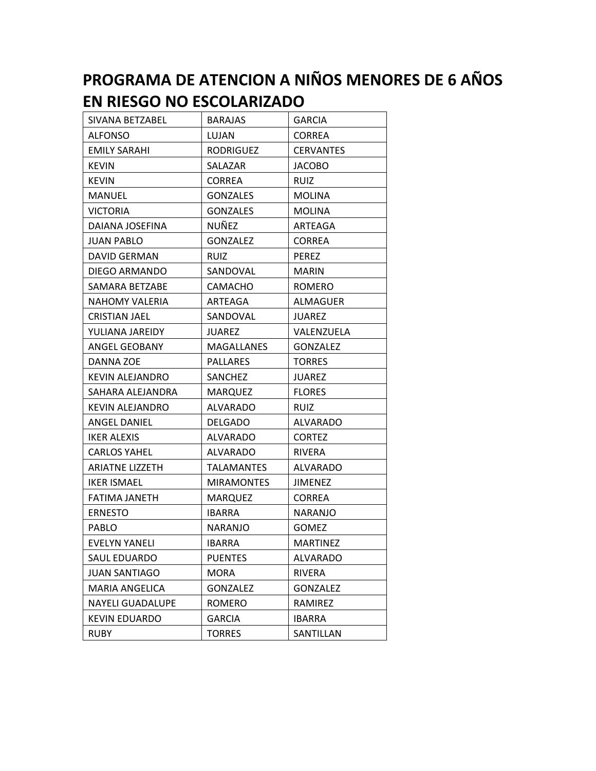## **PROGRAMA DE ATENCION A NIÑOS MENORES DE 6 AÑOS EN RIESGO NO ESCOLARIZADO**

| SIVANA BETZABEL         | <b>BARAJAS</b>    | <b>GARCIA</b>    |
|-------------------------|-------------------|------------------|
| <b>ALFONSO</b>          | LUJAN             | <b>CORREA</b>    |
| <b>EMILY SARAHI</b>     | <b>RODRIGUEZ</b>  | <b>CERVANTES</b> |
| <b>KEVIN</b>            | SALAZAR           | <b>JACOBO</b>    |
| <b>KEVIN</b>            | <b>CORREA</b>     | <b>RUIZ</b>      |
| <b>MANUEL</b>           | <b>GONZALES</b>   | <b>MOLINA</b>    |
| <b>VICTORIA</b>         | <b>GONZALES</b>   | <b>MOLINA</b>    |
| DAIANA JOSEFINA         | NUÑEZ             | ARTEAGA          |
| JUAN PABLO              | <b>GONZALEZ</b>   | <b>CORREA</b>    |
| DAVID GERMAN            | <b>RUIZ</b>       | <b>PEREZ</b>     |
| DIEGO ARMANDO           | SANDOVAL          | <b>MARIN</b>     |
| SAMARA BETZABE          | <b>CAMACHO</b>    | <b>ROMERO</b>    |
| <b>NAHOMY VALERIA</b>   | ARTEAGA           | ALMAGUER         |
| <b>CRISTIAN JAEL</b>    | SANDOVAL          | <b>JUAREZ</b>    |
| YULIANA JAREIDY         | JUAREZ            | VALENZUELA       |
| ANGEL GEOBANY           | <b>MAGALLANES</b> | <b>GONZALEZ</b>  |
| DANNA ZOE               | PALLARES          | <b>TORRES</b>    |
| <b>KEVIN ALEJANDRO</b>  | SANCHEZ           | JUAREZ           |
| SAHARA ALEJANDRA        | <b>MARQUEZ</b>    | <b>FLORES</b>    |
| <b>KEVIN ALEJANDRO</b>  | <b>ALVARADO</b>   | <b>RUIZ</b>      |
| <b>ANGEL DANIEL</b>     | <b>DELGADO</b>    | <b>ALVARADO</b>  |
| <b>IKER ALEXIS</b>      | ALVARADO          | <b>CORTEZ</b>    |
| <b>CARLOS YAHEL</b>     | ALVARADO          | <b>RIVERA</b>    |
| <b>ARIATNE LIZZETH</b>  | TALAMANTES        | ALVARADO         |
| <b>IKER ISMAEL</b>      | <b>MIRAMONTES</b> | <b>JIMENEZ</b>   |
| <b>FATIMA JANETH</b>    | <b>MARQUEZ</b>    | <b>CORREA</b>    |
| <b>ERNESTO</b>          | IBARRA            | NARANJO          |
| <b>PABLO</b>            | <b>NARANJO</b>    | <b>GOMEZ</b>     |
| EVELYN YANELI           | IBARRA            | MARTINEZ         |
| SAUL EDUARDO            | <b>PUENTES</b>    | ALVARADO         |
| <b>JUAN SANTIAGO</b>    | <b>MORA</b>       | RIVERA           |
| <b>MARIA ANGELICA</b>   | <b>GONZALEZ</b>   | <b>GONZALEZ</b>  |
| <b>NAYELI GUADALUPE</b> | ROMERO            | RAMIREZ          |
| KEVIN EDUARDO           | <b>GARCIA</b>     | <b>IBARRA</b>    |
| <b>RUBY</b>             | <b>TORRES</b>     | SANTILLAN        |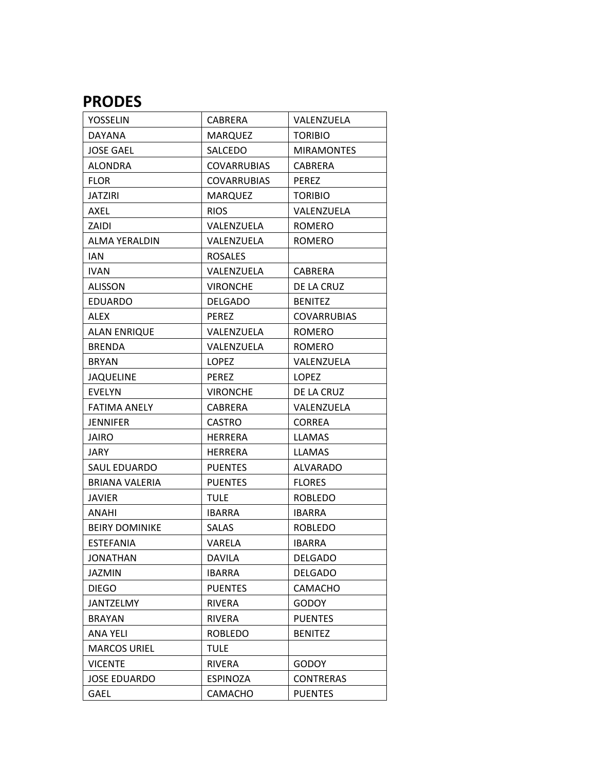## **PRODES**

| YOSSELIN              | CABRERA            | VALENZUELA         |
|-----------------------|--------------------|--------------------|
| <b>DAYANA</b>         | <b>MARQUEZ</b>     | <b>TORIBIO</b>     |
| <b>JOSE GAEL</b>      | SALCEDO            | <b>MIRAMONTES</b>  |
| <b>ALONDRA</b>        | <b>COVARRUBIAS</b> | CABRERA            |
| <b>FLOR</b>           | <b>COVARRUBIAS</b> | <b>PEREZ</b>       |
| <b>JATZIRI</b>        | <b>MARQUEZ</b>     | <b>TORIBIO</b>     |
| AXEL                  | <b>RIOS</b>        | VALENZUELA         |
| ZAIDI                 | VALENZUELA         | <b>ROMERO</b>      |
| <b>ALMA YERALDIN</b>  | VALENZUELA         | <b>ROMERO</b>      |
| <b>IAN</b>            | <b>ROSALES</b>     |                    |
| <b>IVAN</b>           | VALENZUELA         | CABRERA            |
| <b>ALISSON</b>        | <b>VIRONCHE</b>    | DE LA CRUZ         |
| <b>EDUARDO</b>        | <b>DELGADO</b>     | <b>BENITEZ</b>     |
| <b>ALEX</b>           | <b>PEREZ</b>       | <b>COVARRUBIAS</b> |
| <b>ALAN ENRIQUE</b>   | VALENZUELA         | <b>ROMERO</b>      |
| <b>BRENDA</b>         | VALENZUELA         | <b>ROMERO</b>      |
| <b>BRYAN</b>          | <b>LOPEZ</b>       | VALENZUELA         |
| <b>JAQUELINE</b>      | PEREZ              | LOPEZ              |
| <b>EVELYN</b>         | <b>VIRONCHE</b>    | DE LA CRUZ         |
| <b>FATIMA ANELY</b>   | CABRERA            | VALENZUELA         |
| <b>JENNIFER</b>       | <b>CASTRO</b>      | <b>CORREA</b>      |
| <b>JAIRO</b>          | <b>HERRERA</b>     | <b>LLAMAS</b>      |
| <b>JARY</b>           | <b>HERRERA</b>     | <b>LLAMAS</b>      |
| SAUL EDUARDO          | <b>PUENTES</b>     | <b>ALVARADO</b>    |
| <b>BRIANA VALERIA</b> | <b>PUENTES</b>     | <b>FLORES</b>      |
| <b>JAVIER</b>         | <b>TULE</b>        | <b>ROBLEDO</b>     |
| ANAHI                 | <b>IBARRA</b>      | <b>IBARRA</b>      |
| <b>BEIRY DOMINIKE</b> | SALAS              | <b>ROBLEDO</b>     |
| <b>ESTEFANIA</b>      | VARELA             | <b>IBARRA</b>      |
| <b>JONATHAN</b>       | <b>DAVILA</b>      | <b>DELGADO</b>     |
| <b>JAZMIN</b>         | <b>IBARRA</b>      | <b>DELGADO</b>     |
| <b>DIEGO</b>          | <b>PUENTES</b>     | CAMACHO            |
| <b>JANTZELMY</b>      | <b>RIVERA</b>      | <b>GODOY</b>       |
| <b>BRAYAN</b>         | RIVERA             | <b>PUENTES</b>     |
| <b>ANA YELI</b>       | <b>ROBLEDO</b>     | <b>BENITEZ</b>     |
| <b>MARCOS URIEL</b>   | <b>TULE</b>        |                    |
| <b>VICENTE</b>        | <b>RIVERA</b>      | <b>GODOY</b>       |
| <b>JOSE EDUARDO</b>   | <b>ESPINOZA</b>    | <b>CONTRERAS</b>   |
| <b>GAEL</b>           | CAMACHO            | <b>PUENTES</b>     |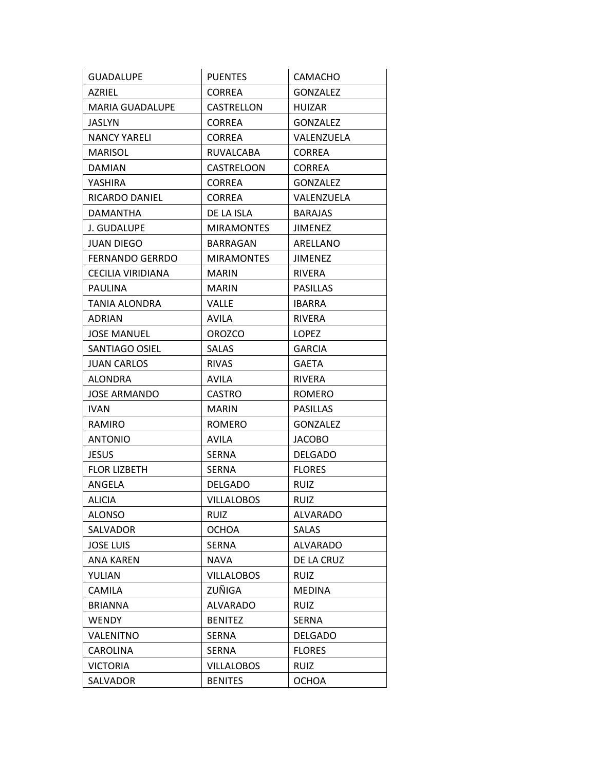| <b>GUADALUPE</b>       | <b>PUENTES</b>    | CAMACHO         |
|------------------------|-------------------|-----------------|
| AZRIEL                 | <b>CORREA</b>     | <b>GONZALEZ</b> |
| <b>MARIA GUADALUPE</b> | CASTRELLON        | <b>HUIZAR</b>   |
| JASLYN                 | <b>CORREA</b>     | <b>GONZALEZ</b> |
| <b>NANCY YARELI</b>    | <b>CORREA</b>     | VALENZUELA      |
| MARISOL                | RUVALCABA         | CORREA          |
| <b>DAMIAN</b>          | CASTRELOON        | <b>CORREA</b>   |
| YASHIRA                | <b>CORREA</b>     | <b>GONZALEZ</b> |
| RICARDO DANIEL         | <b>CORREA</b>     | VALENZUELA      |
| DAMANTHA               | DE LA ISLA        | <b>BARAJAS</b>  |
| J. GUDALUPE            | <b>MIRAMONTES</b> | JIMENEZ         |
| <b>JUAN DIEGO</b>      | BARRAGAN          | ARELLANO        |
| <b>FERNANDO GERRDO</b> | <b>MIRAMONTES</b> | <b>JIMENEZ</b>  |
| CECILIA VIRIDIANA      | <b>MARIN</b>      | <b>RIVERA</b>   |
| PAULINA                | <b>MARIN</b>      | <b>PASILLAS</b> |
| TANIA ALONDRA          | <b>VALLE</b>      | <b>IBARRA</b>   |
| <b>ADRIAN</b>          | <b>AVILA</b>      | <b>RIVERA</b>   |
| <b>JOSE MANUEL</b>     | <b>OROZCO</b>     | <b>LOPEZ</b>    |
| SANTIAGO OSIEL         | <b>SALAS</b>      | GARCIA          |
| JUAN CARLOS            | <b>RIVAS</b>      | <b>GAETA</b>    |
| <b>ALONDRA</b>         | AVILA             | RIVERA          |
| <b>JOSE ARMANDO</b>    | <b>CASTRO</b>     | <b>ROMERO</b>   |
| IVAN                   | <b>MARIN</b>      | PASILLAS        |
| RAMIRO                 | <b>ROMERO</b>     | <b>GONZALEZ</b> |
| <b>ANTONIO</b>         | <b>AVILA</b>      | <b>JACOBO</b>   |
| <b>JESUS</b>           | <b>SERNA</b>      | <b>DELGADO</b>  |
| <b>FLOR LIZBETH</b>    | <b>SERNA</b>      | <b>FLORES</b>   |
| ANGELA                 | <b>DELGADO</b>    | <b>RUIZ</b>     |
| <b>ALICIA</b>          | <b>VILLALOBOS</b> | <b>RUIZ</b>     |
| <b>ALONSO</b>          | <b>RUIZ</b>       | <b>ALVARADO</b> |
| SALVADOR               | <b>OCHOA</b>      | SALAS           |
| <b>JOSE LUIS</b>       | <b>SERNA</b>      | <b>ALVARADO</b> |
| ANA KAREN              | NAVA              | DE LA CRUZ      |
| YULIAN                 | <b>VILLALOBOS</b> | <b>RUIZ</b>     |
| CAMILA                 | ZUÑIGA            | <b>MEDINA</b>   |
| <b>BRIANNA</b>         | <b>ALVARADO</b>   | <b>RUIZ</b>     |
| <b>WENDY</b>           | <b>BENITEZ</b>    | SERNA           |
| VALENITNO              | <b>SERNA</b>      | <b>DELGADO</b>  |
| CAROLINA               | <b>SERNA</b>      | <b>FLORES</b>   |
| VICTORIA               | <b>VILLALOBOS</b> | <b>RUIZ</b>     |
| SALVADOR               | <b>BENITES</b>    | <b>OCHOA</b>    |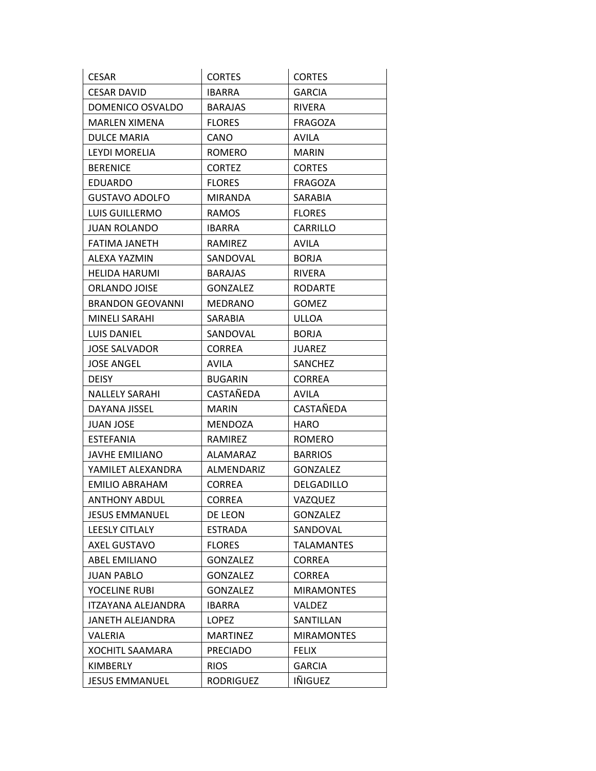| <b>CESAR</b>              | <b>CORTES</b>    | <b>CORTES</b>     |
|---------------------------|------------------|-------------------|
| <b>CESAR DAVID</b>        | <b>IBARRA</b>    | <b>GARCIA</b>     |
| DOMENICO OSVALDO          | <b>BARAJAS</b>   | <b>RIVERA</b>     |
| <b>MARLEN XIMENA</b>      | <b>FLORES</b>    | <b>FRAGOZA</b>    |
| DULCE MARIA               | CANO             | AVILA             |
| LEYDI MORELIA             | <b>ROMERO</b>    | <b>MARIN</b>      |
| <b>BERENICE</b>           | <b>CORTEZ</b>    | <b>CORTES</b>     |
| EDUARDO                   | <b>FLORES</b>    | <b>FRAGOZA</b>    |
| <b>GUSTAVO ADOLFO</b>     | MIRANDA          | SARABIA           |
| LUIS GUILLERMO            | <b>RAMOS</b>     | <b>FLORES</b>     |
| JUAN ROLANDO              | IBARRA           | CARRILLO          |
| FATIMA JANETH             | RAMIREZ          | <b>AVILA</b>      |
| ALEXA YAZMIN              | SANDOVAL         | <b>BORJA</b>      |
| <b>HELIDA HARUMI</b>      | BARAJAS          | <b>RIVERA</b>     |
| ORLANDO JOISE             | <b>GONZALEZ</b>  | <b>RODARTE</b>    |
| <b>BRANDON GEOVANNI</b>   | <b>MEDRANO</b>   | <b>GOMEZ</b>      |
| MINELI SARAHI             | SARABIA          | <b>ULLOA</b>      |
| LUIS DANIEL               | SANDOVAL         | <b>BORJA</b>      |
| <b>JOSE SALVADOR</b>      | <b>CORREA</b>    | <b>JUAREZ</b>     |
| <b>JOSE ANGEL</b>         | <b>AVILA</b>     | SANCHEZ           |
| <b>DEISY</b>              | <b>BUGARIN</b>   | <b>CORREA</b>     |
| <b>NALLELY SARAHI</b>     | CASTAÑEDA        | AVILA             |
| DAYANA JISSEL             | <b>MARIN</b>     | CASTAÑEDA         |
| JUAN JOSE                 | <b>MENDOZA</b>   | <b>HARO</b>       |
| <b>ESTEFANIA</b>          | RAMIREZ          | ROMERO            |
| <b>JAVHE EMILIANO</b>     | <b>ALAMARAZ</b>  | <b>BARRIOS</b>    |
| YAMILET ALEXANDRA         | ALMENDARIZ       | <b>GONZALEZ</b>   |
| EMILIO ABRAHAM            | <b>CORREA</b>    | DELGADILLO        |
| <b>ANTHONY ABDUL</b>      | <b>CORREA</b>    | VAZQUEZ           |
| JESUS EMMANUEL            | DE LEON          | <b>GONZALEZ</b>   |
| <b>LEESLY CITLALY</b>     | <b>ESTRADA</b>   | SANDOVAL          |
| <b>AXEL GUSTAVO</b>       | <b>FLORES</b>    | <b>TALAMANTES</b> |
| ABEL EMILIANO             | <b>GONZALEZ</b>  | <b>CORREA</b>     |
| <b>JUAN PABLO</b>         | <b>GONZALEZ</b>  | <b>CORREA</b>     |
| YOCELINE RUBI             | <b>GONZALEZ</b>  | <b>MIRAMONTES</b> |
| <b>ITZAYANA ALEJANDRA</b> | <b>IBARRA</b>    | <b>VALDEZ</b>     |
| JANETH ALEJANDRA          | LOPEZ            | SANTILLAN         |
| VALERIA                   | <b>MARTINEZ</b>  | <b>MIRAMONTES</b> |
| <b>XOCHITL SAAMARA</b>    | <b>PRECIADO</b>  | <b>FELIX</b>      |
| KIMBERLY                  | <b>RIOS</b>      | <b>GARCIA</b>     |
| <b>JESUS EMMANUEL</b>     | <b>RODRIGUEZ</b> | IÑIGUEZ           |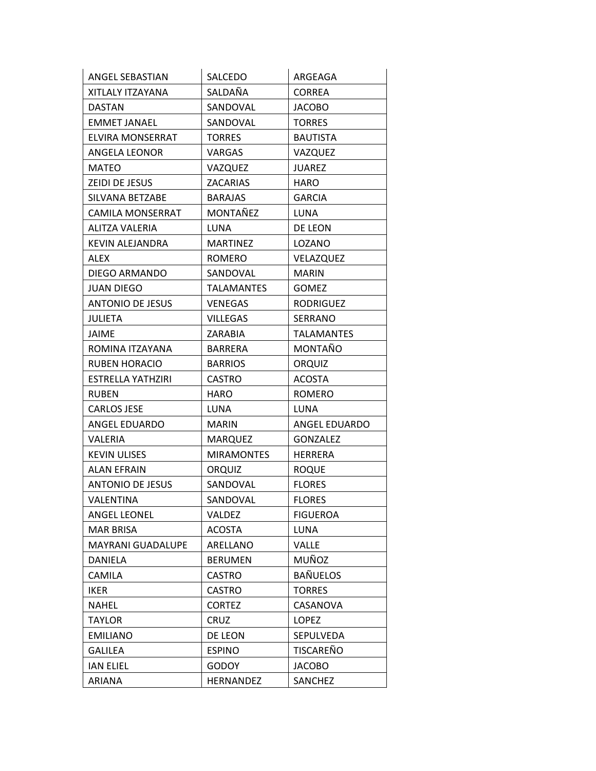| ANGEL SEBASTIAN          | SALCEDO           | ARGEAGA           |
|--------------------------|-------------------|-------------------|
| XITLALY ITZAYANA         | SALDAÑA           | <b>CORREA</b>     |
| <b>DASTAN</b>            | SANDOVAL          | <b>JACOBO</b>     |
| <b>EMMET JANAEL</b>      | SANDOVAL          | <b>TORRES</b>     |
| ELVIRA MONSERRAT         | <b>TORRES</b>     | <b>BAUTISTA</b>   |
| ANGELA LEONOR            | VARGAS            | VAZQUEZ           |
| <b>MATEO</b>             | VAZQUEZ           | <b>JUAREZ</b>     |
| ZEIDI DE JESUS           | <b>ZACARIAS</b>   | <b>HARO</b>       |
| SILVANA BETZABE          | <b>BARAJAS</b>    | <b>GARCIA</b>     |
| CAMILA MONSERRAT         | MONTAÑEZ          | LUNA              |
| ALITZA VALERIA           | LUNA              | DE LEON           |
| <b>KEVIN ALEJANDRA</b>   | <b>MARTINEZ</b>   | LOZANO            |
| <b>ALEX</b>              | ROMERO            | VELAZQUEZ         |
| DIEGO ARMANDO            | SANDOVAL          | <b>MARIN</b>      |
| <b>JUAN DIEGO</b>        | <b>TALAMANTES</b> | <b>GOMEZ</b>      |
| <b>ANTONIO DE JESUS</b>  | <b>VENEGAS</b>    | RODRIGUEZ         |
| <b>JULIETA</b>           | <b>VILLEGAS</b>   | <b>SERRANO</b>    |
| <b>JAIME</b>             | <b>ZARABIA</b>    | <b>TALAMANTES</b> |
| ROMINA ITZAYANA          | BARRERA           | MONTAÑO           |
| <b>RUBEN HORACIO</b>     | <b>BARRIOS</b>    | <b>ORQUIZ</b>     |
| ESTRELLA YATHZIRI        | <b>CASTRO</b>     | <b>ACOSTA</b>     |
| <b>RUBEN</b>             | HARO              | ROMERO            |
| <b>CARLOS JESE</b>       | LUNA              | LUNA              |
| ANGEL EDUARDO            | <b>MARIN</b>      | ANGEL EDUARDO     |
| VALERIA                  | MARQUEZ           | <b>GONZALEZ</b>   |
| <b>KEVIN ULISES</b>      | <b>MIRAMONTES</b> | <b>HERRERA</b>    |
| <b>ALAN EFRAIN</b>       | <b>ORQUIZ</b>     | <b>ROQUE</b>      |
| <b>ANTONIO DE JESUS</b>  | SANDOVAL          | <b>FLORES</b>     |
| VALENTINA                | SANDOVAL          | <b>FLORES</b>     |
| <b>ANGEL LEONEL</b>      | VALDEZ            | <b>FIGUEROA</b>   |
| <b>MAR BRISA</b>         | <b>ACOSTA</b>     | <b>LUNA</b>       |
| <b>MAYRANI GUADALUPE</b> | ARELLANO          | VALLE             |
| DANIELA                  | <b>BERUMEN</b>    | MUÑOZ             |
| <b>CAMILA</b>            | <b>CASTRO</b>     | <b>BAÑUELOS</b>   |
| <b>IKER</b>              | <b>CASTRO</b>     | <b>TORRES</b>     |
| <b>NAHEL</b>             | <b>CORTEZ</b>     | CASANOVA          |
| <b>TAYLOR</b>            | <b>CRUZ</b>       | <b>LOPEZ</b>      |
| <b>EMILIANO</b>          | DE LEON           | SEPULVEDA         |
| <b>GALILEA</b>           | <b>ESPINO</b>     | TISCAREÑO         |
| <b>IAN ELIEL</b>         | <b>GODOY</b>      | <b>JACOBO</b>     |
| ARIANA                   | <b>HERNANDEZ</b>  | SANCHEZ           |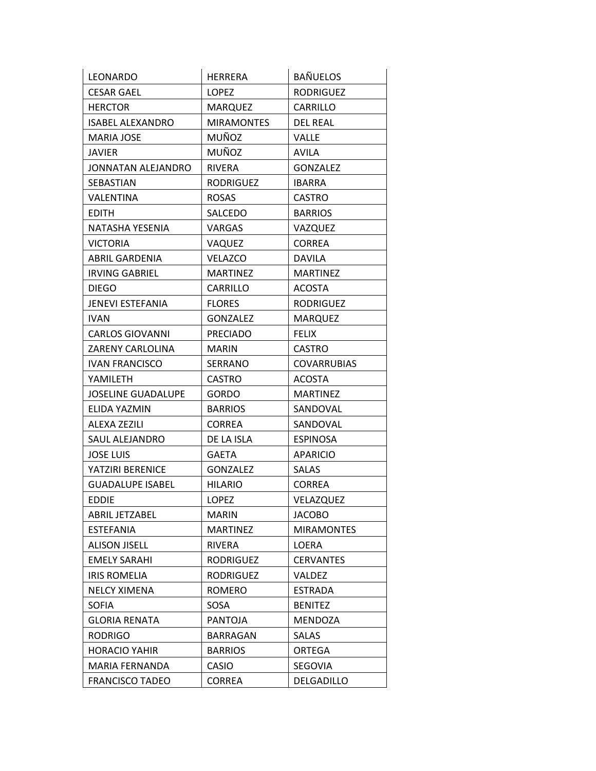| LEONARDO                  | HERRERA           | <b>BAÑUELOS</b>    |
|---------------------------|-------------------|--------------------|
| <b>CESAR GAEL</b>         | <b>LOPEZ</b>      | <b>RODRIGUEZ</b>   |
| <b>HERCTOR</b>            | <b>MARQUEZ</b>    | CARRILLO           |
| <b>ISABEL ALEXANDRO</b>   | <b>MIRAMONTES</b> | <b>DEL REAL</b>    |
| <b>MARIA JOSE</b>         | MUÑOZ             | VALLE              |
| JAVIER                    | MUÑOZ             | <b>AVILA</b>       |
| JONNATAN ALEJANDRO        | RIVERA            | <b>GONZALEZ</b>    |
| SEBASTIAN                 | RODRIGUEZ         | <b>IBARRA</b>      |
| VALENTINA                 | <b>ROSAS</b>      | <b>CASTRO</b>      |
| <b>EDITH</b>              | SALCEDO           | <b>BARRIOS</b>     |
| NATASHA YESENIA           | VARGAS            | VAZQUEZ            |
| VICTORIA                  | VAQUEZ            | <b>CORREA</b>      |
| ABRIL GARDENIA            | <b>VELAZCO</b>    | <b>DAVILA</b>      |
| <b>IRVING GABRIEL</b>     | <b>MARTINEZ</b>   | <b>MARTINEZ</b>    |
| <b>DIEGO</b>              | CARRILLO          | <b>ACOSTA</b>      |
| <b>JENEVI ESTEFANIA</b>   | <b>FLORES</b>     | <b>RODRIGUEZ</b>   |
| <b>IVAN</b>               | <b>GONZALEZ</b>   | <b>MARQUEZ</b>     |
| <b>CARLOS GIOVANNI</b>    | <b>PRECIADO</b>   | <b>FELIX</b>       |
| ZARENY CARLOLINA          | MARIN             | <b>CASTRO</b>      |
| <b>IVAN FRANCISCO</b>     | <b>SERRANO</b>    | <b>COVARRUBIAS</b> |
| YAMILETH                  | <b>CASTRO</b>     | <b>ACOSTA</b>      |
| <b>JOSELINE GUADALUPE</b> | <b>GORDO</b>      | <b>MARTINEZ</b>    |
| ELIDA YAZMIN              | <b>BARRIOS</b>    | SANDOVAL           |
| ALEXA ZEZILI              | <b>CORREA</b>     | SANDOVAL           |
| SAUL ALEJANDRO            | DE LA ISLA        | <b>ESPINOSA</b>    |
| <b>JOSE LUIS</b>          | <b>GAETA</b>      | <b>APARICIO</b>    |
| YATZIRI BERENICE          | <b>GONZALEZ</b>   | <b>SALAS</b>       |
| <b>GUADALUPE ISABEL</b>   | <b>HILARIO</b>    | <b>CORREA</b>      |
| <b>EDDIE</b>              | <b>LOPEZ</b>      | VELAZQUEZ          |
| ABRIL JETZABEL            | <b>MARIN</b>      | <b>JACOBO</b>      |
| <b>ESTEFANIA</b>          | <b>MARTINEZ</b>   | <b>MIRAMONTES</b>  |
| <b>ALISON JISELL</b>      | RIVERA            | LOERA              |
| <b>EMELY SARAHI</b>       | RODRIGUEZ         | <b>CERVANTES</b>   |
| <b>IRIS ROMELIA</b>       | RODRIGUEZ         | VALDEZ             |
| <b>NELCY XIMENA</b>       | ROMERO            | <b>ESTRADA</b>     |
| SOFIA                     | SOSA              | <b>BENITEZ</b>     |
| <b>GLORIA RENATA</b>      | PANTOJA           | MENDOZA            |
| <b>RODRIGO</b>            | BARRAGAN          | <b>SALAS</b>       |
| <b>HORACIO YAHIR</b>      | <b>BARRIOS</b>    | ORTEGA             |
| MARIA FERNANDA            | CASIO             | SEGOVIA            |
| <b>FRANCISCO TADEO</b>    | CORREA            | DELGADILLO         |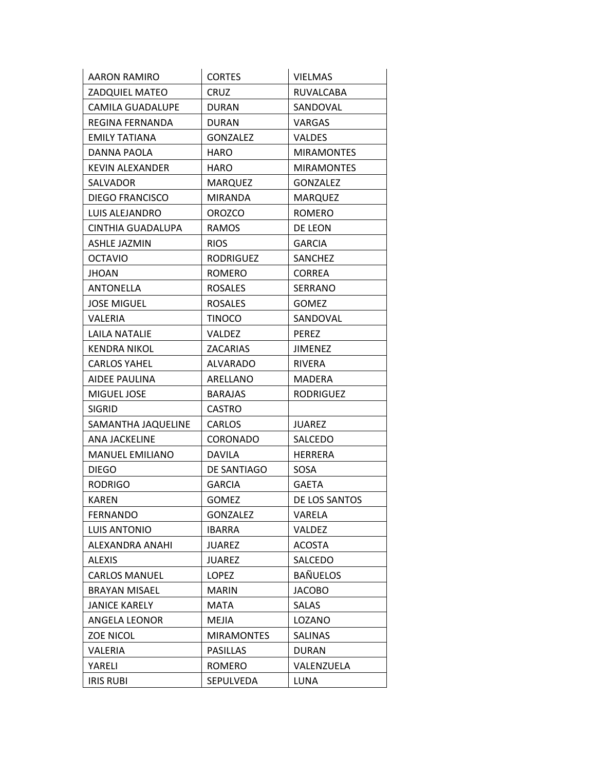| AARON RAMIRO           | <b>CORTES</b>     | <b>VIELMAS</b>    |
|------------------------|-------------------|-------------------|
| <b>ZADQUIEL MATEO</b>  | <b>CRUZ</b>       | RUVALCABA         |
| CAMILA GUADALUPE       | <b>DURAN</b>      | SANDOVAL          |
| REGINA FERNANDA        | DURAN             | <b>VARGAS</b>     |
| <b>EMILY TATIANA</b>   | <b>GONZALEZ</b>   | <b>VALDES</b>     |
| DANNA PAOLA            | HARO              | <b>MIRAMONTES</b> |
| KEVIN ALEXANDER        | HARO              | <b>MIRAMONTES</b> |
| SALVADOR               | <b>MARQUEZ</b>    | <b>GONZALEZ</b>   |
| <b>DIEGO FRANCISCO</b> | <b>MIRANDA</b>    | <b>MARQUEZ</b>    |
| LUIS ALEJANDRO         | <b>OROZCO</b>     | <b>ROMERO</b>     |
| CINTHIA GUADALUPA      | <b>RAMOS</b>      | DE LEON           |
| <b>ASHLE JAZMIN</b>    | <b>RIOS</b>       | <b>GARCIA</b>     |
| <b>OCTAVIO</b>         | <b>RODRIGUEZ</b>  | SANCHEZ           |
| <b>JHOAN</b>           | <b>ROMERO</b>     | <b>CORREA</b>     |
| ANTONELLA              | <b>ROSALES</b>    | <b>SERRANO</b>    |
| <b>JOSE MIGUEL</b>     | <b>ROSALES</b>    | <b>GOMEZ</b>      |
| VALERIA                | <b>TINOCO</b>     | SANDOVAL          |
| LAILA NATALIE          | <b>VALDEZ</b>     | <b>PEREZ</b>      |
| <b>KENDRA NIKOL</b>    | ZACARIAS          | JIMENEZ           |
| <b>CARLOS YAHEL</b>    | <b>ALVARADO</b>   | <b>RIVERA</b>     |
| AIDEE PAULINA          | ARELLANO          | MADERA            |
| MIGUEL JOSE            | <b>BARAJAS</b>    | <b>RODRIGUEZ</b>  |
| <b>SIGRID</b>          | <b>CASTRO</b>     |                   |
| SAMANTHA JAQUELINE     | CARLOS            | <b>JUAREZ</b>     |
| ANA JACKELINE          | <b>CORONADO</b>   | SALCEDO           |
| <b>MANUEL EMILIANO</b> | <b>DAVILA</b>     | <b>HERRERA</b>    |
| <b>DIEGO</b>           | DE SANTIAGO       | SOSA              |
| <b>RODRIGO</b>         | <b>GARCIA</b>     | <b>GAETA</b>      |
| <b>KAREN</b>           | <b>GOMEZ</b>      | DE LOS SANTOS     |
| <b>FERNANDO</b>        | <b>GONZALEZ</b>   | VARELA            |
| LUIS ANTONIO           | <b>IBARRA</b>     | VALDEZ            |
| ALEXANDRA ANAHI        | <b>JUAREZ</b>     | <b>ACOSTA</b>     |
| ALEXIS                 | <b>JUAREZ</b>     | SALCEDO           |
| <b>CARLOS MANUEL</b>   | <b>LOPEZ</b>      | <b>BAÑUELOS</b>   |
| <b>BRAYAN MISAEL</b>   | <b>MARIN</b>      | <b>JACOBO</b>     |
| <b>JANICE KARELY</b>   | MATA              | SALAS             |
| ANGELA LEONOR          | MEJIA             | LOZANO            |
| <b>ZOE NICOL</b>       | <b>MIRAMONTES</b> | <b>SALINAS</b>    |
| VALERIA                | <b>PASILLAS</b>   | <b>DURAN</b>      |
| YARELI                 | ROMERO            | VALENZUELA        |
| <b>IRIS RUBI</b>       | SEPULVEDA         | <b>LUNA</b>       |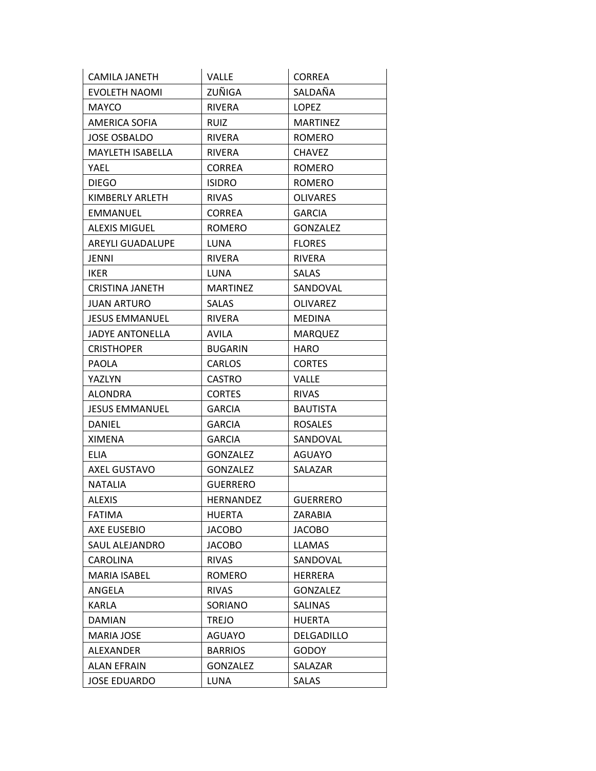| CAMILA JANETH           | VALLE            | <b>CORREA</b>   |
|-------------------------|------------------|-----------------|
| EVOLETH NAOMI           | ZUÑIGA           | SALDAÑA         |
| <b>MAYCO</b>            | <b>RIVERA</b>    | <b>LOPEZ</b>    |
| AMERICA SOFIA           | <b>RUIZ</b>      | <b>MARTINEZ</b> |
| <b>JOSE OSBALDO</b>     | <b>RIVERA</b>    | <b>ROMERO</b>   |
| <b>MAYLETH ISABELLA</b> | <b>RIVERA</b>    | <b>CHAVEZ</b>   |
| YAEL                    | <b>CORREA</b>    | ROMERO          |
| <b>DIEGO</b>            | <b>ISIDRO</b>    | <b>ROMERO</b>   |
| KIMBERLY ARLETH         | <b>RIVAS</b>     | <b>OLIVARES</b> |
| <b>EMMANUEL</b>         | <b>CORREA</b>    | <b>GARCIA</b>   |
| <b>ALEXIS MIGUEL</b>    | ROMERO           | <b>GONZALEZ</b> |
| <b>AREYLI GUADALUPE</b> | LUNA             | <b>FLORES</b>   |
| <b>JENNI</b>            | RIVERA           | RIVERA          |
| IKER                    | LUNA             | <b>SALAS</b>    |
| <b>CRISTINA JANETH</b>  | <b>MARTINEZ</b>  | SANDOVAL        |
| JUAN ARTURO             | SALAS            | OLIVAREZ        |
| <b>JESUS EMMANUEL</b>   | <b>RIVERA</b>    | <b>MEDINA</b>   |
| <b>JADYE ANTONELLA</b>  | <b>AVILA</b>     | <b>MARQUEZ</b>  |
| <b>CRISTHOPER</b>       | <b>BUGARIN</b>   | HARO            |
| <b>PAOLA</b>            | <b>CARLOS</b>    | <b>CORTES</b>   |
| YAZLYN                  | <b>CASTRO</b>    | VALLE           |
| ALONDRA                 | <b>CORTES</b>    | <b>RIVAS</b>    |
| <b>JESUS EMMANUEL</b>   | <b>GARCIA</b>    | <b>BAUTISTA</b> |
| <b>DANIEL</b>           | <b>GARCIA</b>    | <b>ROSALES</b>  |
| XIMENA                  | <b>GARCIA</b>    | SANDOVAL        |
| <b>ELIA</b>             | <b>GONZALEZ</b>  | AGUAYO          |
| <b>AXEL GUSTAVO</b>     | <b>GONZALEZ</b>  | SALAZAR         |
| NATALIA                 | GUERRERO         |                 |
| <b>ALEXIS</b>           | <b>HERNANDEZ</b> | <b>GUERRERO</b> |
| <b>FATIMA</b>           | <b>HUERTA</b>    | ZARABIA         |
| AXE EUSEBIO             | <b>JACOBO</b>    | <b>JACOBO</b>   |
| SAUL ALEJANDRO          | <b>JACOBO</b>    | <b>LLAMAS</b>   |
| CAROLINA                | <b>RIVAS</b>     | SANDOVAL        |
| <b>MARIA ISABEL</b>     | ROMERO           | <b>HERRERA</b>  |
| ANGELA                  | <b>RIVAS</b>     | <b>GONZALEZ</b> |
| <b>KARLA</b>            | SORIANO          | <b>SALINAS</b>  |
| <b>DAMIAN</b>           | <b>TREJO</b>     | <b>HUERTA</b>   |
| <b>MARIA JOSE</b>       | AGUAYO           | DELGADILLO      |
| ALEXANDER               | <b>BARRIOS</b>   | <b>GODOY</b>    |
| ALAN EFRAIN             | GONZALEZ         | SALAZAR         |
| <b>JOSE EDUARDO</b>     | LUNA             | SALAS           |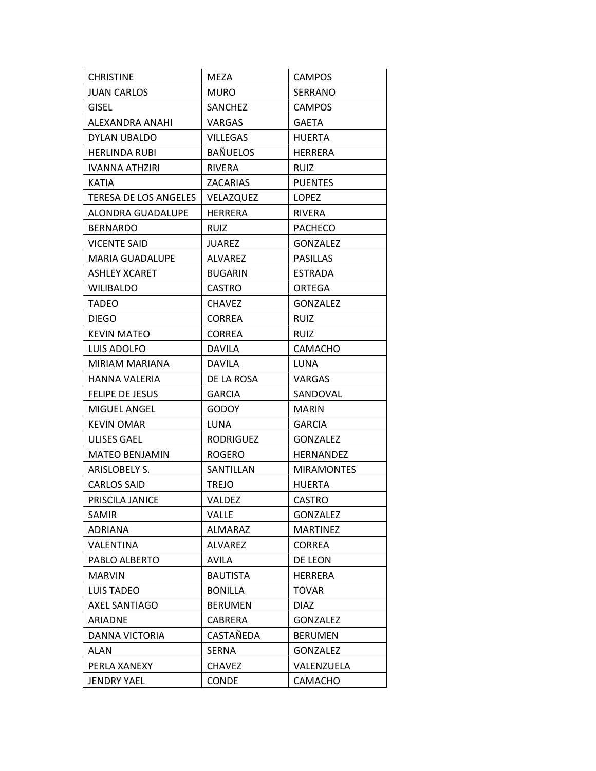| <b>CHRISTINE</b>       | MEZA             | <b>CAMPOS</b>     |
|------------------------|------------------|-------------------|
| <b>JUAN CARLOS</b>     | <b>MURO</b>      | SERRANO           |
| GISEL                  | SANCHEZ          | <b>CAMPOS</b>     |
| ALEXANDRA ANAHI        | VARGAS           | GAETA             |
| DYLAN UBALDO           | <b>VILLEGAS</b>  | <b>HUERTA</b>     |
| <b>HERLINDA RUBI</b>   | <b>BAÑUELOS</b>  | <b>HERRERA</b>    |
| IVANNA ATHZIRI         | <b>RIVERA</b>    | <b>RUIZ</b>       |
| KATIA                  | <b>ZACARIAS</b>  | <b>PUENTES</b>    |
| TERESA DE LOS ANGELES  | VELAZQUEZ        | <b>LOPEZ</b>      |
| ALONDRA GUADALUPE      | HERRERA          | RIVERA            |
| BERNARDO               | <b>RUIZ</b>      | <b>PACHECO</b>    |
| <b>VICENTE SAID</b>    | <b>JUAREZ</b>    | <b>GONZALEZ</b>   |
| <b>MARIA GUADALUPE</b> | ALVAREZ          | <b>PASILLAS</b>   |
| <b>ASHLEY XCARET</b>   | <b>BUGARIN</b>   | <b>ESTRADA</b>    |
| <b>WILIBALDO</b>       | <b>CASTRO</b>    | ORTEGA            |
| <b>TADEO</b>           | <b>CHAVEZ</b>    | <b>GONZALEZ</b>   |
| <b>DIEGO</b>           | <b>CORREA</b>    | <b>RUIZ</b>       |
| <b>KEVIN MATEO</b>     | <b>CORREA</b>    | <b>RUIZ</b>       |
| LUIS ADOLFO            | <b>DAVILA</b>    | <b>CAMACHO</b>    |
| MIRIAM MARIANA         | <b>DAVILA</b>    | LUNA              |
| HANNA VALERIA          | DE LA ROSA       | VARGAS            |
| FELIPE DE JESUS        | <b>GARCIA</b>    | SANDOVAL          |
| MIGUEL ANGEL           | <b>GODOY</b>     | <b>MARIN</b>      |
| <b>KEVIN OMAR</b>      | LUNA             | <b>GARCIA</b>     |
| ULISES GAEL            | <b>RODRIGUEZ</b> | <b>GONZALEZ</b>   |
| <b>MATEO BENJAMIN</b>  | <b>ROGERO</b>    | HERNANDEZ         |
| ARISLOBELY S.          | SANTILLAN        | <b>MIRAMONTES</b> |
| <b>CARLOS SAID</b>     | <b>TREJO</b>     | <b>HUERTA</b>     |
| PRISCILA JANICE        | <b>VALDEZ</b>    | <b>CASTRO</b>     |
| SAMIR                  | VALLE            | <b>GONZALEZ</b>   |
| <b>ADRIANA</b>         | <b>ALMARAZ</b>   | <b>MARTINEZ</b>   |
| <b>VALENTINA</b>       | <b>ALVAREZ</b>   | <b>CORREA</b>     |
| PABLO ALBERTO          | AVILA            | DE LEON           |
| <b>MARVIN</b>          | <b>BAUTISTA</b>  | <b>HERRERA</b>    |
| <b>LUIS TADEO</b>      | <b>BONILLA</b>   | <b>TOVAR</b>      |
| <b>AXEL SANTIAGO</b>   | <b>BERUMEN</b>   | <b>DIAZ</b>       |
| ARIADNE                | CABRERA          | <b>GONZALEZ</b>   |
| DANNA VICTORIA         | CASTAÑEDA        | <b>BERUMEN</b>    |
| ALAN                   | SERNA            | <b>GONZALEZ</b>   |
| PERLA XANEXY           | <b>CHAVEZ</b>    | VALENZUELA        |
| <b>JENDRY YAEL</b>     | CONDE            | <b>CAMACHO</b>    |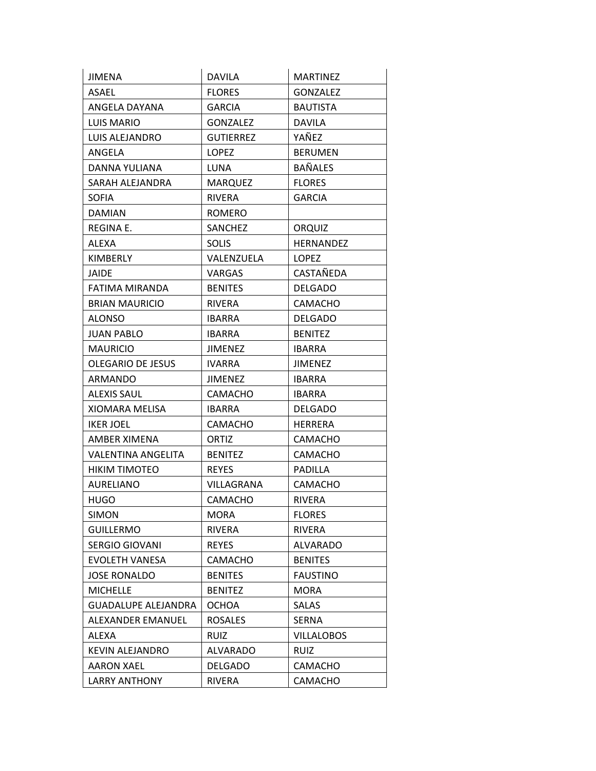| <b>JIMENA</b>              | DAVILA           | <b>MARTINEZ</b>   |
|----------------------------|------------------|-------------------|
| <b>ASAEL</b>               | <b>FLORES</b>    | <b>GONZALEZ</b>   |
| ANGELA DAYANA              | <b>GARCIA</b>    | <b>BAUTISTA</b>   |
| LUIS MARIO                 | <b>GONZALEZ</b>  | <b>DAVILA</b>     |
| LUIS ALEJANDRO             | <b>GUTIERREZ</b> | YAÑEZ             |
| ANGELA                     | <b>LOPEZ</b>     | <b>BERUMEN</b>    |
| DANNA YULIANA              | LUNA             | <b>BAÑALES</b>    |
| SARAH ALEJANDRA            | <b>MARQUEZ</b>   | <b>FLORES</b>     |
| <b>SOFIA</b>               | <b>RIVERA</b>    | <b>GARCIA</b>     |
| <b>DAMIAN</b>              | <b>ROMERO</b>    |                   |
| REGINA E.                  | SANCHEZ          | ORQUIZ            |
| ALEXA                      | <b>SOLIS</b>     | <b>HERNANDEZ</b>  |
| <b>KIMBERLY</b>            | VALENZUELA       | <b>LOPEZ</b>      |
| JAIDE                      | <b>VARGAS</b>    | CASTAÑEDA         |
| FATIMA MIRANDA             | <b>BENITES</b>   | <b>DELGADO</b>    |
| <b>BRIAN MAURICIO</b>      | <b>RIVERA</b>    | <b>CAMACHO</b>    |
| <b>ALONSO</b>              | <b>IBARRA</b>    | <b>DELGADO</b>    |
| JUAN PABLO                 | <b>IBARRA</b>    | <b>BENITEZ</b>    |
| <b>MAURICIO</b>            | <b>JIMENEZ</b>   | <b>IBARRA</b>     |
| <b>OLEGARIO DE JESUS</b>   | <b>IVARRA</b>    | <b>JIMENEZ</b>    |
| ARMANDO                    | <b>JIMENEZ</b>   | <b>IBARRA</b>     |
| <b>ALEXIS SAUL</b>         | <b>CAMACHO</b>   | <b>IBARRA</b>     |
| XIOMARA MELISA             | <b>IBARRA</b>    | <b>DELGADO</b>    |
| IKER JOEL                  | <b>CAMACHO</b>   | <b>HERRERA</b>    |
| AMBER XIMENA               | ORTIZ            | <b>CAMACHO</b>    |
| VALENTINA ANGELITA         | <b>BENITEZ</b>   | <b>CAMACHO</b>    |
| <b>HIKIM TIMOTEO</b>       | <b>REYES</b>     | PADILLA           |
| <b>AURELIANO</b>           | VILLAGRANA       | CAMACHO           |
| HUGO                       | CAMACHO          | <b>RIVERA</b>     |
| <b>SIMON</b>               | <b>MORA</b>      | <b>FLORES</b>     |
| <b>GUILLERMO</b>           | RIVERA           | RIVERA            |
| <b>SERGIO GIOVANI</b>      | <b>REYES</b>     | <b>ALVARADO</b>   |
| <b>EVOLETH VANESA</b>      | CAMACHO          | <b>BENITES</b>    |
| <b>JOSE RONALDO</b>        | <b>BENITES</b>   | <b>FAUSTINO</b>   |
| <b>MICHELLE</b>            | <b>BENITEZ</b>   | MORA              |
| <b>GUADALUPE ALEJANDRA</b> | <b>OCHOA</b>     | <b>SALAS</b>      |
| ALEXANDER EMANUEL          | <b>ROSALES</b>   | SERNA             |
| ALEXA                      | RUIZ             | <b>VILLALOBOS</b> |
| KEVIN ALEJANDRO            | <b>ALVARADO</b>  | <b>RUIZ</b>       |
| <b>AARON XAEL</b>          | <b>DELGADO</b>   | CAMACHO           |
| <b>LARRY ANTHONY</b>       | RIVERA           | CAMACHO           |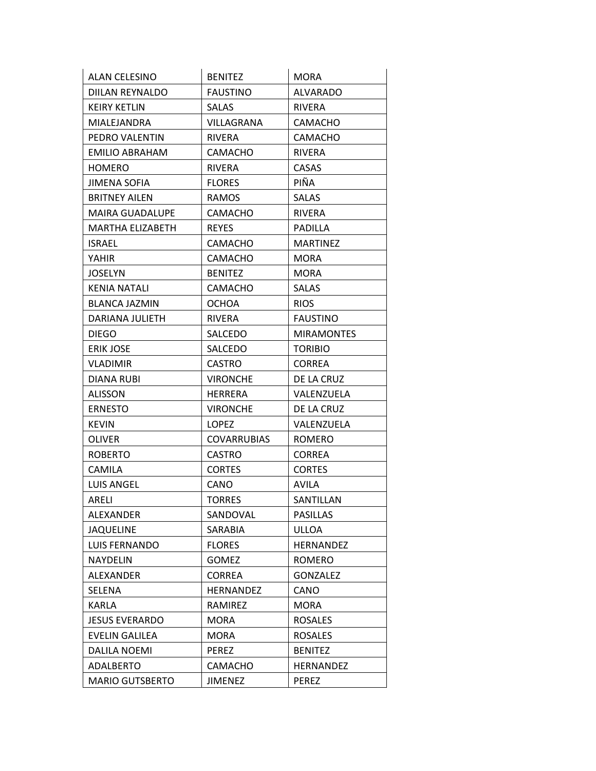| ALAN CELESINO          | <b>BENITEZ</b>     | <b>MORA</b>       |
|------------------------|--------------------|-------------------|
| DIILAN REYNALDO        | <b>FAUSTINO</b>    | <b>ALVARADO</b>   |
| <b>KEIRY KETLIN</b>    | SALAS              | <b>RIVERA</b>     |
| MIALEJANDRA            | VILLAGRANA         | CAMACHO           |
| PEDRO VALENTIN         | <b>RIVERA</b>      | <b>CAMACHO</b>    |
| EMILIO ABRAHAM         | <b>CAMACHO</b>     | <b>RIVERA</b>     |
| <b>HOMERO</b>          | RIVERA             | <b>CASAS</b>      |
| <b>JIMENA SOFIA</b>    | <b>FLORES</b>      | PIÑA              |
| <b>BRITNEY AILEN</b>   | RAMOS              | <b>SALAS</b>      |
| <b>MAIRA GUADALUPE</b> | <b>CAMACHO</b>     | <b>RIVERA</b>     |
| MARTHA ELIZABETH       | <b>REYES</b>       | PADILLA           |
| ISRAEL                 | CAMACHO            | <b>MARTINEZ</b>   |
| YAHIR                  | CAMACHO            | <b>MORA</b>       |
| <b>JOSELYN</b>         | <b>BENITEZ</b>     | <b>MORA</b>       |
| <b>KENIA NATALI</b>    | CAMACHO            | <b>SALAS</b>      |
| <b>BLANCA JAZMIN</b>   | <b>OCHOA</b>       | <b>RIOS</b>       |
| DARIANA JULIETH        | <b>RIVERA</b>      | <b>FAUSTINO</b>   |
| <b>DIEGO</b>           | SALCEDO            | <b>MIRAMONTES</b> |
| <b>ERIK JOSE</b>       | SALCEDO            | <b>TORIBIO</b>    |
| <b>VLADIMIR</b>        | <b>CASTRO</b>      | <b>CORREA</b>     |
| DIANA RUBI             | <b>VIRONCHE</b>    | DE LA CRUZ        |
| <b>ALISSON</b>         | <b>HERRERA</b>     | VALENZUELA        |
| <b>ERNESTO</b>         | <b>VIRONCHE</b>    | DE LA CRUZ        |
| <b>KEVIN</b>           | <b>LOPEZ</b>       | VALENZUELA        |
| OLIVER                 | <b>COVARRUBIAS</b> | <b>ROMERO</b>     |
| <b>ROBERTO</b>         | <b>CASTRO</b>      | <b>CORREA</b>     |
| <b>CAMILA</b>          | <b>CORTES</b>      | <b>CORTES</b>     |
| <b>LUIS ANGEL</b>      | CANO               | AVILA             |
| ARELI                  | <b>TORRES</b>      | SANTILLAN         |
| ALEXANDER              | SANDOVAL           | <b>PASILLAS</b>   |
| <b>JAQUELINE</b>       | SARABIA            | ULLOA             |
| <b>LUIS FERNANDO</b>   | <b>FLORES</b>      | <b>HERNANDEZ</b>  |
| <b>NAYDELIN</b>        | <b>GOMEZ</b>       | <b>ROMERO</b>     |
| ALEXANDER              | <b>CORREA</b>      | <b>GONZALEZ</b>   |
| SELENA                 | <b>HERNANDEZ</b>   | CANO              |
| <b>KARLA</b>           | RAMIREZ            | <b>MORA</b>       |
| <b>JESUS EVERARDO</b>  | <b>MORA</b>        | <b>ROSALES</b>    |
| EVELIN GALILEA         | MORA               | <b>ROSALES</b>    |
| <b>DALILA NOEMI</b>    | <b>PEREZ</b>       | <b>BENITEZ</b>    |
| ADALBERTO              | CAMACHO            | <b>HERNANDEZ</b>  |
| <b>MARIO GUTSBERTO</b> | <b>JIMENEZ</b>     | <b>PEREZ</b>      |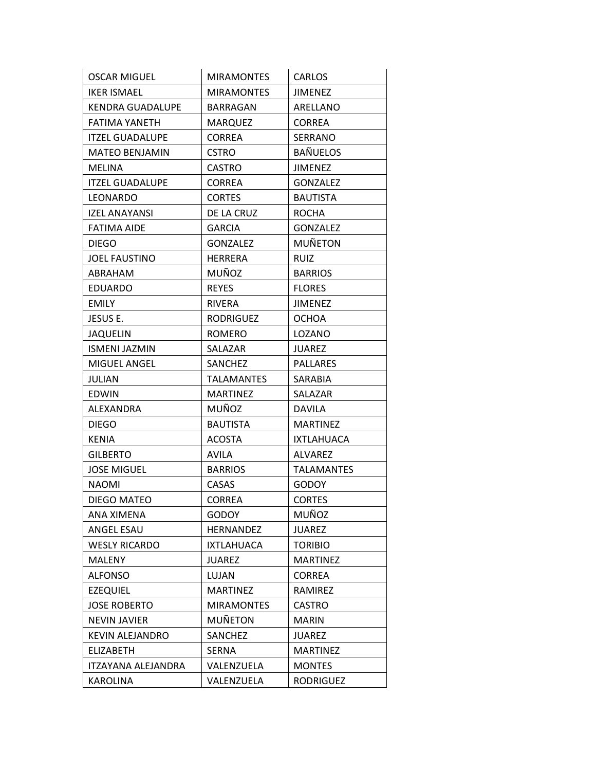| <b>OSCAR MIGUEL</b>     | <b>MIRAMONTES</b> | <b>CARLOS</b>     |
|-------------------------|-------------------|-------------------|
| <b>IKER ISMAEL</b>      | <b>MIRAMONTES</b> | <b>JIMENEZ</b>    |
| <b>KENDRA GUADALUPE</b> | <b>BARRAGAN</b>   | ARELLANO          |
| FATIMA YANETH           | <b>MARQUEZ</b>    | <b>CORREA</b>     |
| <b>ITZEL GUADALUPE</b>  | <b>CORREA</b>     | SERRANO           |
| <b>MATEO BENJAMIN</b>   | <b>CSTRO</b>      | <b>BAÑUELOS</b>   |
| MELINA                  | <b>CASTRO</b>     | <b>JIMENEZ</b>    |
| <b>ITZEL GUADALUPE</b>  | <b>CORREA</b>     | <b>GONZALEZ</b>   |
| LEONARDO                | <b>CORTES</b>     | <b>BAUTISTA</b>   |
| <b>IZEL ANAYANSI</b>    | DE LA CRUZ        | <b>ROCHA</b>      |
| <b>FATIMA AIDE</b>      | <b>GARCIA</b>     | <b>GONZALEZ</b>   |
| <b>DIEGO</b>            | <b>GONZALEZ</b>   | <b>MUÑETON</b>    |
| <b>JOEL FAUSTINO</b>    | <b>HERRERA</b>    | <b>RUIZ</b>       |
| ABRAHAM                 | MUÑOZ             | <b>BARRIOS</b>    |
| <b>EDUARDO</b>          | <b>REYES</b>      | <b>FLORES</b>     |
| <b>EMILY</b>            | <b>RIVERA</b>     | <b>JIMENEZ</b>    |
| JESUS E.                | <b>RODRIGUEZ</b>  | <b>OCHOA</b>      |
| <b>JAQUELIN</b>         | <b>ROMERO</b>     | LOZANO            |
| <b>ISMENI JAZMIN</b>    | SALAZAR           | JUAREZ            |
| MIGUEL ANGEL            | <b>SANCHEZ</b>    | <b>PALLARES</b>   |
| JULIAN                  | <b>TALAMANTES</b> | SARABIA           |
| <b>EDWIN</b>            | <b>MARTINEZ</b>   | SALAZAR           |
| ALEXANDRA               | MUÑOZ             | <b>DAVILA</b>     |
| <b>DIEGO</b>            | <b>BAUTISTA</b>   | <b>MARTINEZ</b>   |
| KENIA                   | <b>ACOSTA</b>     | <b>IXTLAHUACA</b> |
| <b>GILBERTO</b>         | <b>AVILA</b>      | <b>ALVAREZ</b>    |
| <b>JOSE MIGUEL</b>      | <b>BARRIOS</b>    | TALAMANTES        |
| <b>NAOMI</b>            | CASAS             | <b>GODOY</b>      |
| <b>DIEGO MATEO</b>      | <b>CORREA</b>     | <b>CORTES</b>     |
| ANA XIMENA              | <b>GODOY</b>      | MUÑOZ             |
| ANGEL ESAU              | HERNANDEZ         | <b>JUAREZ</b>     |
| <b>WESLY RICARDO</b>    | <b>IXTLAHUACA</b> | <b>TORIBIO</b>    |
| MALENY                  | <b>JUAREZ</b>     | <b>MARTINEZ</b>   |
| <b>ALFONSO</b>          | LUJAN             | <b>CORREA</b>     |
| <b>EZEQUIEL</b>         | <b>MARTINEZ</b>   | RAMIREZ           |
| <b>JOSE ROBERTO</b>     | <b>MIRAMONTES</b> | <b>CASTRO</b>     |
| <b>NEVIN JAVIER</b>     | <b>MUÑETON</b>    | <b>MARIN</b>      |
| <b>KEVIN ALEJANDRO</b>  | SANCHEZ           | <b>JUAREZ</b>     |
| <b>ELIZABETH</b>        | <b>SERNA</b>      | <b>MARTINEZ</b>   |
| ITZAYANA ALEJANDRA      | VALENZUELA        | <b>MONTES</b>     |
| <b>KAROLINA</b>         | VALENZUELA        | <b>RODRIGUEZ</b>  |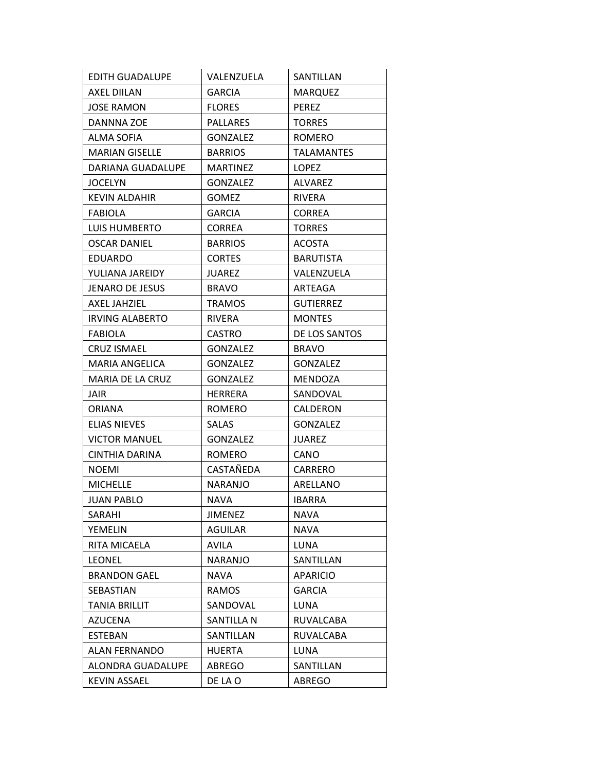| EDITH GUADALUPE        | VALENZUELA      | SANTILLAN         |
|------------------------|-----------------|-------------------|
| AXEL DIILAN            | <b>GARCIA</b>   | <b>MARQUEZ</b>    |
| <b>JOSE RAMON</b>      | <b>FLORES</b>   | <b>PEREZ</b>      |
| DANNNA ZOE             | <b>PALLARES</b> | <b>TORRES</b>     |
| ALMA SOFIA             | <b>GONZALEZ</b> | ROMERO            |
| <b>MARIAN GISELLE</b>  | <b>BARRIOS</b>  | <b>TALAMANTES</b> |
| DARIANA GUADALUPE      | <b>MARTINEZ</b> | LOPEZ             |
| <b>JOCELYN</b>         | GONZALEZ        | <b>ALVAREZ</b>    |
| <b>KEVIN ALDAHIR</b>   | <b>GOMEZ</b>    | RIVERA            |
| <b>FABIOLA</b>         | <b>GARCIA</b>   | <b>CORREA</b>     |
| LUIS HUMBERTO          | <b>CORREA</b>   | <b>TORRES</b>     |
| <b>OSCAR DANIEL</b>    | <b>BARRIOS</b>  | <b>ACOSTA</b>     |
| <b>EDUARDO</b>         | <b>CORTES</b>   | <b>BARUTISTA</b>  |
| YULIANA JAREIDY        | <b>JUAREZ</b>   | VALENZUELA        |
| JENARO DE JESUS        | <b>BRAVO</b>    | ARTEAGA           |
| AXEL JAHZIEL           | <b>TRAMOS</b>   | <b>GUTIERREZ</b>  |
| <b>IRVING ALABERTO</b> | <b>RIVERA</b>   | <b>MONTES</b>     |
| <b>FABIOLA</b>         | <b>CASTRO</b>   | DE LOS SANTOS     |
| <b>CRUZ ISMAEL</b>     | <b>GONZALEZ</b> | <b>BRAVO</b>      |
| MARIA ANGELICA         | <b>GONZALEZ</b> | <b>GONZALEZ</b>   |
| MARIA DE LA CRUZ       | <b>GONZALEZ</b> | MENDOZA           |
| JAIR                   | HERRERA         | SANDOVAL          |
| <b>ORIANA</b>          | <b>ROMERO</b>   | CALDERON          |
| <b>ELIAS NIEVES</b>    | <b>SALAS</b>    | <b>GONZALEZ</b>   |
| <b>VICTOR MANUEL</b>   | GONZALEZ        | <b>JUAREZ</b>     |
| CINTHIA DARINA         | ROMERO          | <b>CANO</b>       |
| <b>NOEMI</b>           | CASTAÑEDA       | CARRERO           |
| <b>MICHELLE</b>        | <b>NARANJO</b>  | ARELLANO          |
| JUAN PABLO             | <b>NAVA</b>     | <b>IBARRA</b>     |
| SARAHI                 | <b>JIMENEZ</b>  | <b>NAVA</b>       |
| YEMELIN                | AGUILAR         | <b>NAVA</b>       |
| RITA MICAELA           | AVILA           | LUNA              |
| <b>LEONEL</b>          | NARANJO         | SANTILLAN         |
| <b>BRANDON GAEL</b>    | <b>NAVA</b>     | <b>APARICIO</b>   |
| <b>SEBASTIAN</b>       | RAMOS           | <b>GARCIA</b>     |
| <b>TANIA BRILLIT</b>   | SANDOVAL        | LUNA              |
| <b>AZUCENA</b>         | SANTILLA N      | RUVALCABA         |
| <b>ESTEBAN</b>         | SANTILLAN       | RUVALCABA         |
| ALAN FERNANDO          | <b>HUERTA</b>   | LUNA              |
| ALONDRA GUADALUPE      | ABREGO          | SANTILLAN         |
| <b>KEVIN ASSAEL</b>    | DE LA O         | <b>ABREGO</b>     |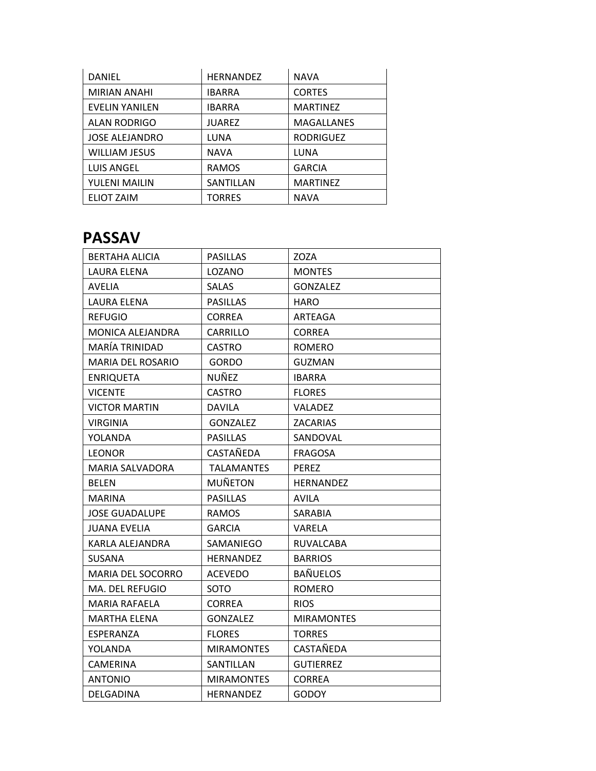| DANIEL                | <b>HERNANDEZ</b> | <b>NAVA</b>       |
|-----------------------|------------------|-------------------|
| <b>MIRIAN ANAHI</b>   | <b>IBARRA</b>    | <b>CORTES</b>     |
| <b>EVELIN YANILEN</b> | <b>IBARRA</b>    | <b>MARTINEZ</b>   |
| ALAN RODRIGO          | <b>JUAREZ</b>    | <b>MAGALLANES</b> |
| <b>JOSE ALEJANDRO</b> | LUNA             | <b>RODRIGUEZ</b>  |
| <b>WILLIAM JESUS</b>  | <b>NAVA</b>      | LUNA              |
| <b>LUIS ANGEL</b>     | <b>RAMOS</b>     | <b>GARCIA</b>     |
| YULENI MAILIN         | SANTILLAN        | <b>MARTINEZ</b>   |
| <b>ELIOT ZAIM</b>     | <b>TORRES</b>    | <b>NAVA</b>       |

## **PASSAV**

| <b>BERTAHA ALICIA</b>    | <b>PASILLAS</b>   | ZOZA              |
|--------------------------|-------------------|-------------------|
| <b>LAURA ELENA</b>       | LOZANO            | <b>MONTES</b>     |
| AVELIA                   | <b>SALAS</b>      | <b>GONZALEZ</b>   |
| LAURA ELENA              | <b>PASILLAS</b>   | HARO              |
| REFUGIO                  | <b>CORREA</b>     | ARTEAGA           |
| MONICA ALEJANDRA         | CARRILLO          | <b>CORREA</b>     |
| MARÍA TRINIDAD           | <b>CASTRO</b>     | <b>ROMERO</b>     |
| <b>MARIA DEL ROSARIO</b> | <b>GORDO</b>      | <b>GUZMAN</b>     |
| <b>ENRIQUETA</b>         | NUÑEZ             | <b>IBARRA</b>     |
| <b>VICENTE</b>           | <b>CASTRO</b>     | <b>FLORES</b>     |
| <b>VICTOR MARTIN</b>     | <b>DAVILA</b>     | VALADEZ           |
| VIRGINIA                 | GONZALEZ          | ZACARIAS          |
| YOLANDA                  | <b>PASILLAS</b>   | SANDOVAL          |
| <b>LEONOR</b>            | CASTAÑEDA         | <b>FRAGOSA</b>    |
| <b>MARIA SALVADORA</b>   | <b>TALAMANTES</b> | <b>PEREZ</b>      |
| <b>BELEN</b>             | <b>MUÑETON</b>    | <b>HERNANDEZ</b>  |
| <b>MARINA</b>            | <b>PASILLAS</b>   | <b>AVILA</b>      |
| <b>JOSE GUADALUPE</b>    | <b>RAMOS</b>      | SARABIA           |
| <b>JUANA EVELIA</b>      | <b>GARCIA</b>     | VARELA            |
| KARLA ALEJANDRA          | SAMANIEGO         | RUVALCABA         |
| SUSANA                   | <b>HERNANDEZ</b>  | <b>BARRIOS</b>    |
| <b>MARIA DEL SOCORRO</b> | ACEVEDO           | <b>BAÑUELOS</b>   |
| MA. DEL REFUGIO          | <b>SOTO</b>       | <b>ROMERO</b>     |
| <b>MARIA RAFAELA</b>     | <b>CORREA</b>     | <b>RIOS</b>       |
| MARTHA ELENA             | <b>GONZALEZ</b>   | <b>MIRAMONTES</b> |
| ESPERANZA                | <b>FLORES</b>     | <b>TORRES</b>     |
| YOLANDA                  | <b>MIRAMONTES</b> | CASTAÑEDA         |
| <b>CAMERINA</b>          | SANTILLAN         | <b>GUTIERREZ</b>  |
| <b>ANTONIO</b>           | <b>MIRAMONTES</b> | <b>CORREA</b>     |
| DELGADINA                | <b>HERNANDEZ</b>  | <b>GODOY</b>      |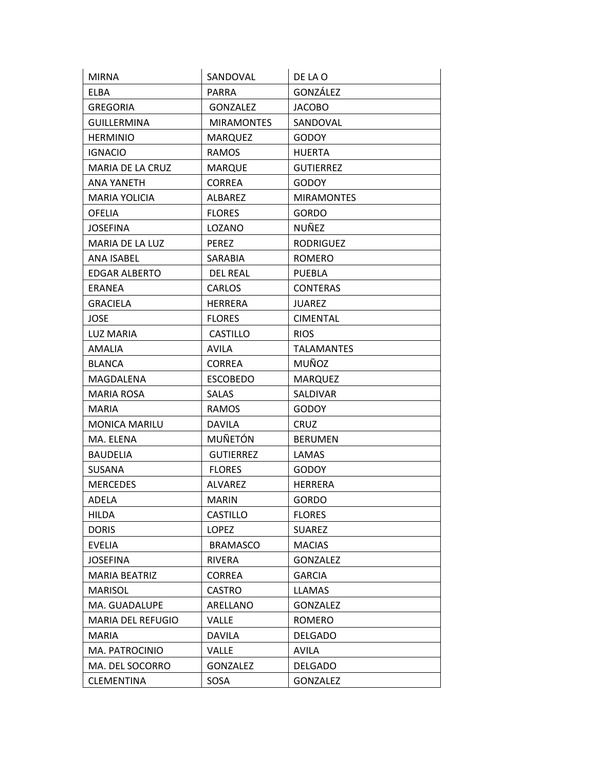| <b>MIRNA</b>             | SANDOVAL          | DE LA O           |
|--------------------------|-------------------|-------------------|
| <b>ELBA</b>              | <b>PARRA</b>      | GONZÁLEZ          |
| <b>GREGORIA</b>          | <b>GONZALEZ</b>   | <b>JACOBO</b>     |
| <b>GUILLERMINA</b>       | <b>MIRAMONTES</b> | SANDOVAL          |
| <b>HERMINIO</b>          | <b>MARQUEZ</b>    | <b>GODOY</b>      |
| <b>IGNACIO</b>           | RAMOS             | <b>HUERTA</b>     |
| MARIA DE LA CRUZ         | <b>MARQUE</b>     | <b>GUTIERREZ</b>  |
| ANA YANETH               | <b>CORREA</b>     | <b>GODOY</b>      |
| <b>MARIA YOLICIA</b>     | <b>ALBAREZ</b>    | <b>MIRAMONTES</b> |
| <b>OFELIA</b>            | <b>FLORES</b>     | <b>GORDO</b>      |
| <b>JOSEFINA</b>          | LOZANO            | NUÑEZ             |
| MARIA DE LA LUZ          | <b>PEREZ</b>      | <b>RODRIGUEZ</b>  |
| <b>ANA ISABEL</b>        | SARABIA           | <b>ROMERO</b>     |
| <b>EDGAR ALBERTO</b>     | <b>DEL REAL</b>   | <b>PUEBLA</b>     |
| ERANEA                   | <b>CARLOS</b>     | <b>CONTERAS</b>   |
| <b>GRACIELA</b>          | <b>HERRERA</b>    | <b>JUAREZ</b>     |
| <b>JOSE</b>              | <b>FLORES</b>     | <b>CIMENTAL</b>   |
| <b>LUZ MARIA</b>         | <b>CASTILLO</b>   | <b>RIOS</b>       |
| <b>AMALIA</b>            | <b>AVILA</b>      | <b>TALAMANTES</b> |
| <b>BLANCA</b>            | <b>CORREA</b>     | MUÑOZ             |
| MAGDALENA                | <b>ESCOBEDO</b>   | <b>MARQUEZ</b>    |
| <b>MARIA ROSA</b>        | <b>SALAS</b>      | SALDIVAR          |
| <b>MARIA</b>             | <b>RAMOS</b>      | <b>GODOY</b>      |
| <b>MONICA MARILU</b>     | <b>DAVILA</b>     | <b>CRUZ</b>       |
| MA. ELENA                | <b>MUÑETÓN</b>    | <b>BERUMEN</b>    |
| <b>BAUDELIA</b>          | <b>GUTIERREZ</b>  | LAMAS             |
| SUSANA                   | <b>FLORES</b>     | <b>GODOY</b>      |
| <b>MERCEDES</b>          | <b>ALVAREZ</b>    | <b>HERRERA</b>    |
| <b>ADELA</b>             | <b>MARIN</b>      | GORDO             |
| <b>HILDA</b>             | CASTILLO          | <b>FLORES</b>     |
| <b>DORIS</b>             | <b>LOPEZ</b>      | <b>SUAREZ</b>     |
| <b>EVELIA</b>            | <b>BRAMASCO</b>   | <b>MACIAS</b>     |
| <b>JOSEFINA</b>          | <b>RIVERA</b>     | GONZALEZ          |
| <b>MARIA BEATRIZ</b>     | <b>CORREA</b>     | <b>GARCIA</b>     |
| <b>MARISOL</b>           | <b>CASTRO</b>     | LLAMAS            |
| MA. GUADALUPE            | ARELLANO          | <b>GONZALEZ</b>   |
| <b>MARIA DEL REFUGIO</b> | VALLE             | <b>ROMERO</b>     |
| <b>MARIA</b>             | <b>DAVILA</b>     | <b>DELGADO</b>    |
| MA. PATROCINIO           | <b>VALLE</b>      | <b>AVILA</b>      |
| MA. DEL SOCORRO          | <b>GONZALEZ</b>   | <b>DELGADO</b>    |
| <b>CLEMENTINA</b>        | SOSA              | <b>GONZALEZ</b>   |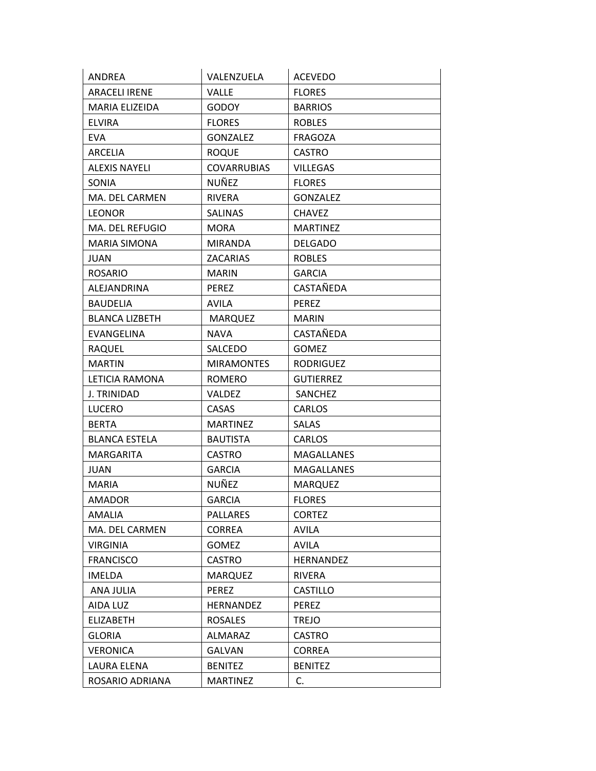| ANDREA                | VALENZUELA         | <b>ACEVEDO</b>    |
|-----------------------|--------------------|-------------------|
| <b>ARACELI IRENE</b>  | VALLE              | <b>FLORES</b>     |
| MARIA ELIZEIDA        | <b>GODOY</b>       | <b>BARRIOS</b>    |
| <b>ELVIRA</b>         | <b>FLORES</b>      | <b>ROBLES</b>     |
| <b>EVA</b>            | GONZALEZ           | <b>FRAGOZA</b>    |
| ARCELIA               | <b>ROQUE</b>       | <b>CASTRO</b>     |
| <b>ALEXIS NAYELI</b>  | <b>COVARRUBIAS</b> | <b>VILLEGAS</b>   |
| SONIA                 | NUÑEZ              | <b>FLORES</b>     |
| MA. DEL CARMEN        | <b>RIVERA</b>      | <b>GONZALEZ</b>   |
| <b>LEONOR</b>         | <b>SALINAS</b>     | <b>CHAVEZ</b>     |
| MA. DEL REFUGIO       | <b>MORA</b>        | <b>MARTINEZ</b>   |
| <b>MARIA SIMONA</b>   | <b>MIRANDA</b>     | <b>DELGADO</b>    |
| <b>JUAN</b>           | <b>ZACARIAS</b>    | <b>ROBLES</b>     |
| <b>ROSARIO</b>        | <b>MARIN</b>       | <b>GARCIA</b>     |
| ALEJANDRINA           | <b>PEREZ</b>       | CASTAÑEDA         |
| <b>BAUDELIA</b>       | AVILA              | <b>PEREZ</b>      |
| <b>BLANCA LIZBETH</b> | <b>MARQUEZ</b>     | <b>MARIN</b>      |
| EVANGELINA            | <b>NAVA</b>        | CASTAÑEDA         |
| <b>RAQUEL</b>         | SALCEDO            | <b>GOMEZ</b>      |
| <b>MARTIN</b>         | <b>MIRAMONTES</b>  | <b>RODRIGUEZ</b>  |
| LETICIA RAMONA        | <b>ROMERO</b>      | <b>GUTIERREZ</b>  |
| J. TRINIDAD           | <b>VALDEZ</b>      | SANCHEZ           |
| LUCERO                | <b>CASAS</b>       | CARLOS            |
| <b>BERTA</b>          | <b>MARTINEZ</b>    | <b>SALAS</b>      |
| <b>BLANCA ESTELA</b>  | <b>BAUTISTA</b>    | <b>CARLOS</b>     |
| <b>MARGARITA</b>      | <b>CASTRO</b>      | MAGALLANES        |
| <b>JUAN</b>           | <b>GARCIA</b>      | <b>MAGALLANES</b> |
| <b>MARIA</b>          | NUÑEZ              | <b>MARQUEZ</b>    |
| <b>AMADOR</b>         | <b>GARCIA</b>      | <b>FLORES</b>     |
| <b>AMALIA</b>         | PALLARES           | <b>CORTEZ</b>     |
| MA. DEL CARMEN        | <b>CORREA</b>      | AVILA             |
| <b>VIRGINIA</b>       | <b>GOMEZ</b>       | <b>AVILA</b>      |
| <b>FRANCISCO</b>      | <b>CASTRO</b>      | HERNANDEZ         |
| <b>IMELDA</b>         | <b>MARQUEZ</b>     | RIVERA            |
| ANA JULIA             | <b>PEREZ</b>       | <b>CASTILLO</b>   |
| AIDA LUZ              | HERNANDEZ          | <b>PEREZ</b>      |
| <b>ELIZABETH</b>      | <b>ROSALES</b>     | <b>TREJO</b>      |
| <b>GLORIA</b>         | ALMARAZ            | <b>CASTRO</b>     |
| <b>VERONICA</b>       | <b>GALVAN</b>      | CORREA            |
| LAURA ELENA           | <b>BENITEZ</b>     | <b>BENITEZ</b>    |
| ROSARIO ADRIANA       | <b>MARTINEZ</b>    | C.                |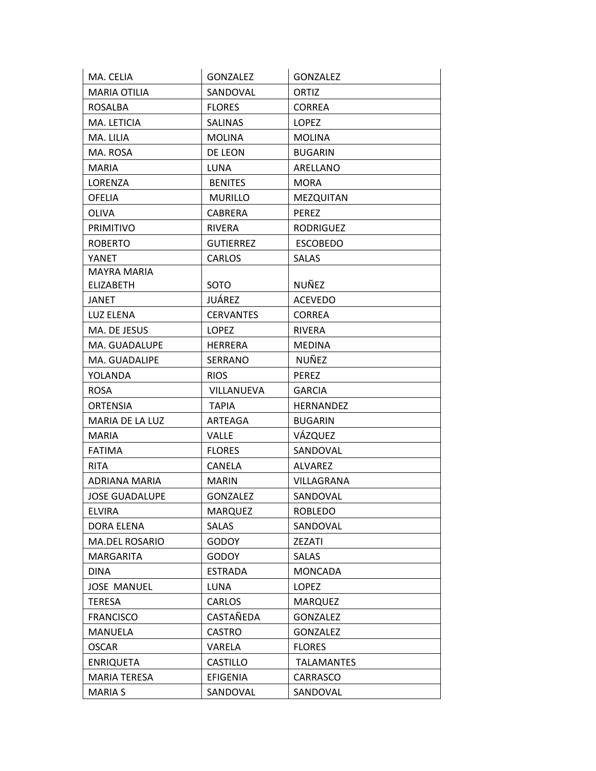| MA. CELIA              | <b>GONZALEZ</b>  | <b>GONZALEZ</b>   |
|------------------------|------------------|-------------------|
| <b>MARIA OTILIA</b>    | SANDOVAL         | ORTIZ             |
| <b>ROSALBA</b>         | <b>FLORES</b>    | <b>CORREA</b>     |
| MA. LETICIA            | <b>SALINAS</b>   | <b>LOPEZ</b>      |
| MA. LILIA              | <b>MOLINA</b>    | <b>MOLINA</b>     |
| MA. ROSA               | DE LEON          | <b>BUGARIN</b>    |
| <b>MARIA</b>           | <b>LUNA</b>      | ARELLANO          |
| LORENZA                | <b>BENITES</b>   | <b>MORA</b>       |
| <b>OFELIA</b>          | <b>MURILLO</b>   | MEZQUITAN         |
| <b>OLIVA</b>           | <b>CABRERA</b>   | <b>PEREZ</b>      |
| <b>PRIMITIVO</b>       | <b>RIVERA</b>    | <b>RODRIGUEZ</b>  |
| <b>ROBERTO</b>         | <b>GUTIERREZ</b> | <b>ESCOBEDO</b>   |
| YANET                  | CARLOS           | <b>SALAS</b>      |
| <b>MAYRA MARIA</b>     |                  |                   |
| <b>ELIZABETH</b>       | SOTO             | NUÑEZ             |
| JANET                  | JUÁREZ           | <b>ACEVEDO</b>    |
| LUZ ELENA              | <b>CERVANTES</b> | <b>CORREA</b>     |
| MA. DE JESUS           | <b>LOPEZ</b>     | <b>RIVERA</b>     |
| MA. GUADALUPE          | <b>HERRERA</b>   | <b>MEDINA</b>     |
| MA. GUADALIPE          | SERRANO          | NUÑEZ             |
| YOLANDA                | <b>RIOS</b>      | <b>PEREZ</b>      |
| <b>ROSA</b>            | VILLANUEVA       | <b>GARCIA</b>     |
| <b>ORTENSIA</b>        | <b>TAPIA</b>     | <b>HERNANDEZ</b>  |
| <b>MARIA DE LA LUZ</b> | ARTEAGA          | <b>BUGARIN</b>    |
| <b>MARIA</b>           | <b>VALLE</b>     | VÁZQUEZ           |
| <b>FATIMA</b>          | <b>FLORES</b>    | SANDOVAL          |
| <b>RITA</b>            | <b>CANELA</b>    | ALVAREZ           |
| ADRIANA MARIA          | <b>MARIN</b>     | VILLAGRANA        |
| <b>JOSE GUADALUPE</b>  | <b>GONZALEZ</b>  | SANDOVAL          |
| <b>ELVIRA</b>          | <b>MARQUEZ</b>   | <b>ROBLEDO</b>    |
| DORA ELENA             | <b>SALAS</b>     | SANDOVAL          |
| MA.DEL ROSARIO         | <b>GODOY</b>     | ZEZATI            |
| <b>MARGARITA</b>       | <b>GODOY</b>     | <b>SALAS</b>      |
| <b>DINA</b>            | <b>ESTRADA</b>   | <b>MONCADA</b>    |
| <b>JOSE MANUEL</b>     | LUNA             | LOPEZ             |
| <b>TERESA</b>          | <b>CARLOS</b>    | <b>MARQUEZ</b>    |
| <b>FRANCISCO</b>       | CASTAÑEDA        | <b>GONZALEZ</b>   |
| MANUELA                | CASTRO           | <b>GONZALEZ</b>   |
| <b>OSCAR</b>           | VARELA           | <b>FLORES</b>     |
| <b>ENRIQUETA</b>       | <b>CASTILLO</b>  | <b>TALAMANTES</b> |
| MARIA TERESA           | EFIGENIA         | CARRASCO          |
|                        |                  |                   |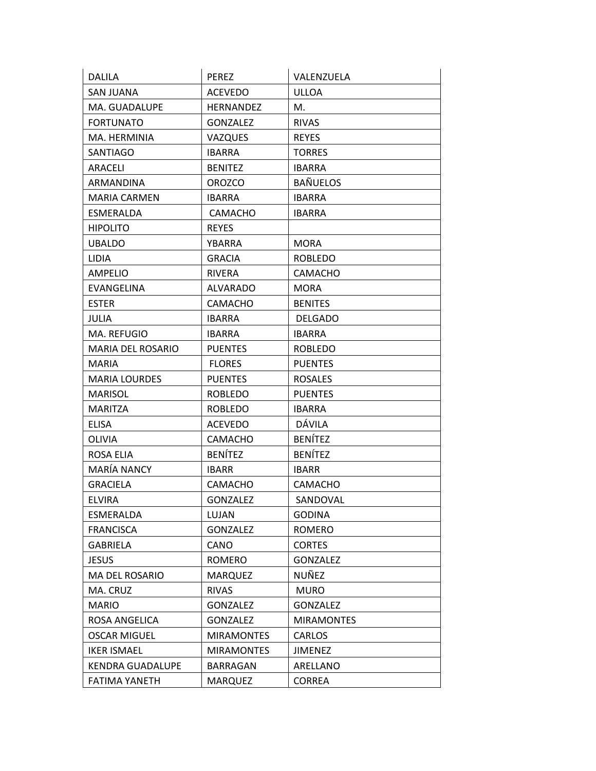| <b>DALILA</b>            | <b>PEREZ</b>      | VALENZUELA        |
|--------------------------|-------------------|-------------------|
| <b>SAN JUANA</b>         | <b>ACEVEDO</b>    | <b>ULLOA</b>      |
| MA. GUADALUPE            | <b>HERNANDEZ</b>  | M.                |
| <b>FORTUNATO</b>         | <b>GONZALEZ</b>   | <b>RIVAS</b>      |
| MA. HERMINIA             | <b>VAZQUES</b>    | <b>REYES</b>      |
| <b>SANTIAGO</b>          | <b>IBARRA</b>     | <b>TORRES</b>     |
| ARACELI                  | <b>BENITEZ</b>    | <b>IBARRA</b>     |
| ARMANDINA                | <b>OROZCO</b>     | <b>BAÑUELOS</b>   |
| <b>MARIA CARMEN</b>      | <b>IBARRA</b>     | <b>IBARRA</b>     |
| ESMERALDA                | <b>CAMACHO</b>    | <b>IBARRA</b>     |
| <b>HIPOLITO</b>          | <b>REYES</b>      |                   |
| <b>UBALDO</b>            | YBARRA            | <b>MORA</b>       |
| <b>LIDIA</b>             | <b>GRACIA</b>     | <b>ROBLEDO</b>    |
| <b>AMPELIO</b>           | <b>RIVERA</b>     | <b>CAMACHO</b>    |
| EVANGELINA               | <b>ALVARADO</b>   | <b>MORA</b>       |
| <b>ESTER</b>             | <b>CAMACHO</b>    | <b>BENITES</b>    |
| <b>JULIA</b>             | <b>IBARRA</b>     | <b>DELGADO</b>    |
| MA. REFUGIO              | <b>IBARRA</b>     | <b>IBARRA</b>     |
| <b>MARIA DEL ROSARIO</b> | <b>PUENTES</b>    | <b>ROBLEDO</b>    |
| <b>MARIA</b>             | <b>FLORES</b>     | <b>PUENTES</b>    |
| <b>MARIA LOURDES</b>     | <b>PUENTES</b>    | <b>ROSALES</b>    |
| <b>MARISOL</b>           | <b>ROBLEDO</b>    | <b>PUENTES</b>    |
| MARITZA                  | <b>ROBLEDO</b>    | <b>IBARRA</b>     |
| <b>ELISA</b>             | <b>ACEVEDO</b>    | DÁVILA            |
| <b>OLIVIA</b>            | <b>CAMACHO</b>    | <b>BENÍTEZ</b>    |
| ROSA ELIA                | <b>BENÍTEZ</b>    | <b>BENÍTEZ</b>    |
| MARÍA NANCY              | <b>IBARR</b>      | <b>IBARR</b>      |
| <b>GRACIELA</b>          | <b>CAMACHO</b>    | <b>CAMACHO</b>    |
| <b>ELVIRA</b>            | <b>GONZALEZ</b>   | SANDOVAL          |
| ESMERALDA                | LUJAN             | <b>GODINA</b>     |
| <b>FRANCISCA</b>         | <b>GONZALEZ</b>   | <b>ROMERO</b>     |
| <b>GABRIELA</b>          | CANO              | <b>CORTES</b>     |
| <b>JESUS</b>             | <b>ROMERO</b>     | GONZALEZ          |
| MA DEL ROSARIO           | <b>MARQUEZ</b>    | NUÑEZ             |
| MA. CRUZ                 | <b>RIVAS</b>      | <b>MURO</b>       |
| <b>MARIO</b>             | <b>GONZALEZ</b>   | <b>GONZALEZ</b>   |
| ROSA ANGELICA            | <b>GONZALEZ</b>   | <b>MIRAMONTES</b> |
| <b>OSCAR MIGUEL</b>      | <b>MIRAMONTES</b> | CARLOS            |
| <b>IKER ISMAEL</b>       | <b>MIRAMONTES</b> | <b>JIMENEZ</b>    |
| <b>KENDRA GUADALUPE</b>  | BARRAGAN          | ARELLANO          |
| FATIMA YANETH            | <b>MARQUEZ</b>    | <b>CORREA</b>     |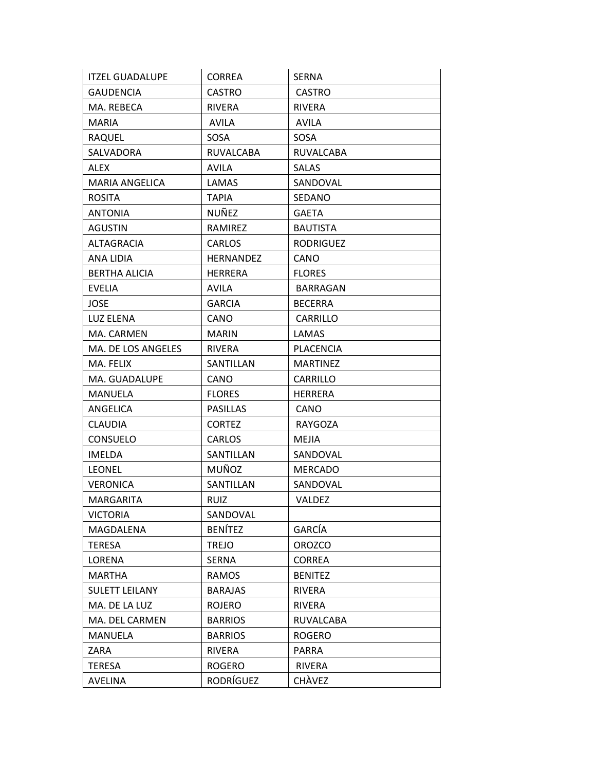| <b>ITZEL GUADALUPE</b> | <b>CORREA</b>    | <b>SERNA</b>     |
|------------------------|------------------|------------------|
| <b>GAUDENCIA</b>       | <b>CASTRO</b>    | <b>CASTRO</b>    |
| MA. REBECA             | <b>RIVERA</b>    | <b>RIVERA</b>    |
| <b>MARIA</b>           | <b>AVILA</b>     | AVILA            |
| <b>RAQUEL</b>          | SOSA             | SOSA             |
| SALVADORA              | RUVALCABA        | <b>RUVALCABA</b> |
| <b>ALEX</b>            | <b>AVILA</b>     | <b>SALAS</b>     |
| <b>MARIA ANGELICA</b>  | LAMAS            | SANDOVAL         |
| <b>ROSITA</b>          | <b>TAPIA</b>     | <b>SEDANO</b>    |
| <b>ANTONIA</b>         | NUÑEZ            | <b>GAETA</b>     |
| <b>AGUSTIN</b>         | RAMIREZ          | <b>BAUTISTA</b>  |
| <b>ALTAGRACIA</b>      | CARLOS           | <b>RODRIGUEZ</b> |
| ANA LIDIA              | <b>HERNANDEZ</b> | CANO             |
| <b>BERTHA ALICIA</b>   | <b>HERRERA</b>   | <b>FLORES</b>    |
| <b>EVELIA</b>          | <b>AVILA</b>     | BARRAGAN         |
| JOSE                   | <b>GARCIA</b>    | <b>BECERRA</b>   |
| <b>LUZ ELENA</b>       | CANO             | CARRILLO         |
| MA. CARMEN             | <b>MARIN</b>     | LAMAS            |
| MA. DE LOS ANGELES     | RIVERA           | <b>PLACENCIA</b> |
| MA. FELIX              | SANTILLAN        | <b>MARTINEZ</b>  |
| MA. GUADALUPE          | CANO             | CARRILLO         |
| MANUELA                | <b>FLORES</b>    | HERRERA          |
| ANGELICA               | <b>PASILLAS</b>  | CANO             |
| <b>CLAUDIA</b>         | <b>CORTEZ</b>    | <b>RAYGOZA</b>   |
| <b>CONSUELO</b>        | CARLOS           | MEJIA            |
| <b>IMELDA</b>          | SANTILLAN        | SANDOVAL         |
| <b>LEONEL</b>          | <b>MUÑOZ</b>     | <b>MERCADO</b>   |
| <b>VERONICA</b>        | SANTILLAN        | SANDOVAL         |
| <b>MARGARITA</b>       | <b>RUIZ</b>      | <b>VALDEZ</b>    |
| <b>VICTORIA</b>        | SANDOVAL         |                  |
| MAGDALENA              | <b>BENÍTEZ</b>   | GARCÍA           |
| <b>TERESA</b>          | <b>TREJO</b>     | <b>OROZCO</b>    |
| LORENA                 | <b>SERNA</b>     | <b>CORREA</b>    |
| <b>MARTHA</b>          | RAMOS            | <b>BENITEZ</b>   |
| <b>SULETT LEILANY</b>  | <b>BARAJAS</b>   | <b>RIVERA</b>    |
| MA. DE LA LUZ          | <b>ROJERO</b>    | <b>RIVERA</b>    |
| MA. DEL CARMEN         | <b>BARRIOS</b>   | RUVALCABA        |
| <b>MANUELA</b>         | <b>BARRIOS</b>   | <b>ROGERO</b>    |
| ZARA                   | <b>RIVERA</b>    | <b>PARRA</b>     |
| <b>TERESA</b>          | <b>ROGERO</b>    | RIVERA           |
| <b>AVELINA</b>         | RODRÍGUEZ        | CHÀVEZ           |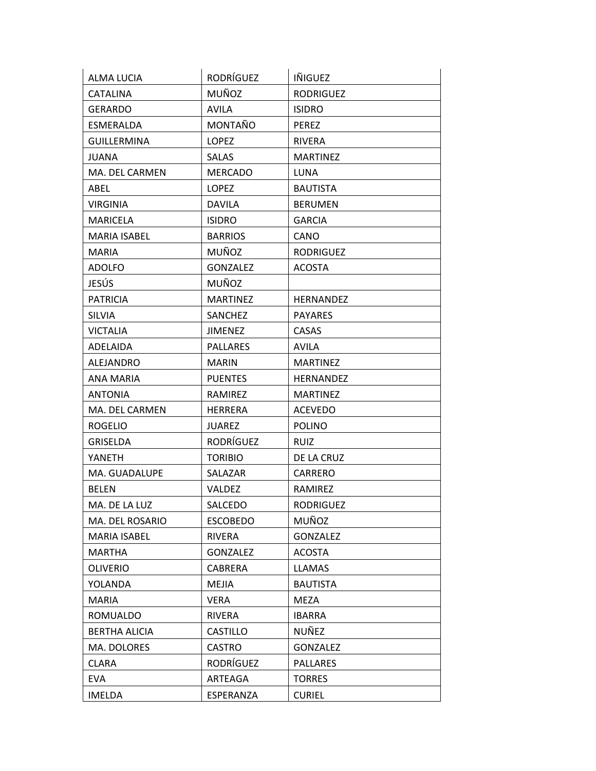| <b>ALMA LUCIA</b>    | RODRÍGUEZ       | IÑIGUEZ          |
|----------------------|-----------------|------------------|
| <b>CATALINA</b>      | MUÑOZ           | <b>RODRIGUEZ</b> |
| <b>GERARDO</b>       | <b>AVILA</b>    | <b>ISIDRO</b>    |
| ESMERALDA            | MONTAÑO         | PEREZ            |
| <b>GUILLERMINA</b>   | <b>LOPEZ</b>    | <b>RIVERA</b>    |
| <b>JUANA</b>         | <b>SALAS</b>    | <b>MARTINEZ</b>  |
| MA. DEL CARMEN       | <b>MERCADO</b>  | <b>LUNA</b>      |
| ABEL                 | <b>LOPEZ</b>    | <b>BAUTISTA</b>  |
| <b>VIRGINIA</b>      | <b>DAVILA</b>   | <b>BERUMEN</b>   |
| <b>MARICELA</b>      | <b>ISIDRO</b>   | <b>GARCIA</b>    |
| <b>MARIA ISABEL</b>  | <b>BARRIOS</b>  | CANO             |
| <b>MARIA</b>         | MUÑOZ           | <b>RODRIGUEZ</b> |
| <b>ADOLFO</b>        | <b>GONZALEZ</b> | <b>ACOSTA</b>    |
| JESÚS                | MUÑOZ           |                  |
| <b>PATRICIA</b>      | <b>MARTINEZ</b> | <b>HERNANDEZ</b> |
| <b>SILVIA</b>        | SANCHEZ         | <b>PAYARES</b>   |
| <b>VICTALIA</b>      | <b>JIMENEZ</b>  | CASAS            |
| <b>ADELAIDA</b>      | <b>PALLARES</b> | <b>AVILA</b>     |
| ALEJANDRO            | <b>MARIN</b>    | <b>MARTINEZ</b>  |
| <b>ANA MARIA</b>     | <b>PUENTES</b>  | HERNANDEZ        |
| <b>ANTONIA</b>       | RAMIREZ         | <b>MARTINEZ</b>  |
| MA. DEL CARMEN       | <b>HERRERA</b>  | <b>ACEVEDO</b>   |
| <b>ROGELIO</b>       | <b>JUAREZ</b>   | <b>POLINO</b>    |
| <b>GRISELDA</b>      | RODRÍGUEZ       | <b>RUIZ</b>      |
| YANETH               | <b>TORIBIO</b>  | DE LA CRUZ       |
| MA. GUADALUPE        | SALAZAR         | CARRERO          |
| <b>BELEN</b>         | VALDEZ          | RAMIREZ          |
| MA. DE LA LUZ        | SALCEDO         | RODRIGUEZ        |
| MA. DEL ROSARIO      | <b>ESCOBEDO</b> | MUÑOZ            |
| <b>MARIA ISABEL</b>  | RIVERA          | GONZALEZ         |
| <b>MARTHA</b>        | <b>GONZALEZ</b> | <b>ACOSTA</b>    |
| <b>OLIVERIO</b>      | <b>CABRERA</b>  | <b>LLAMAS</b>    |
| <b>YOLANDA</b>       | <b>MEJIA</b>    | <b>BAUTISTA</b>  |
| <b>MARIA</b>         | <b>VERA</b>     | <b>MEZA</b>      |
| <b>ROMUALDO</b>      | RIVERA          | <b>IBARRA</b>    |
| <b>BERTHA ALICIA</b> | <b>CASTILLO</b> | NUÑEZ            |
| MA. DOLORES          | CASTRO          | <b>GONZALEZ</b>  |
| <b>CLARA</b>         | RODRÍGUEZ       | <b>PALLARES</b>  |
| <b>EVA</b>           | ARTEAGA         | <b>TORRES</b>    |
| <b>IMELDA</b>        | ESPERANZA       | <b>CURIEL</b>    |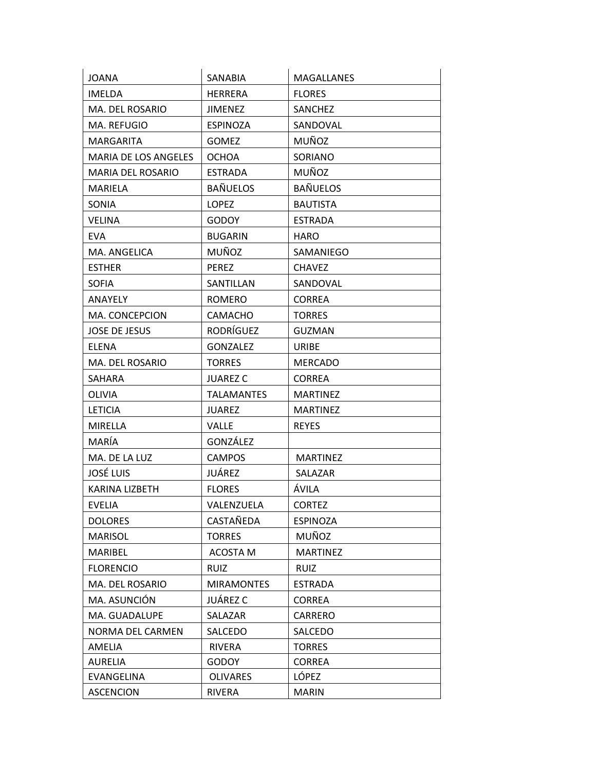| <b>JOANA</b>          | SANABIA           | <b>MAGALLANES</b> |
|-----------------------|-------------------|-------------------|
| <b>IMELDA</b>         | <b>HERRERA</b>    | <b>FLORES</b>     |
| MA. DEL ROSARIO       | <b>JIMENEZ</b>    | <b>SANCHEZ</b>    |
| MA. REFUGIO           | <b>ESPINOZA</b>   | SANDOVAL          |
| MARGARITA             | <b>GOMEZ</b>      | MUÑOZ             |
| MARIA DE LOS ANGELES  | <b>OCHOA</b>      | SORIANO           |
| MARIA DEL ROSARIO     | <b>ESTRADA</b>    | MUÑOZ             |
| MARIELA               | <b>BAÑUELOS</b>   | <b>BAÑUELOS</b>   |
| SONIA                 | <b>LOPEZ</b>      | <b>BAUTISTA</b>   |
| <b>VELINA</b>         | <b>GODOY</b>      | <b>ESTRADA</b>    |
| <b>EVA</b>            | <b>BUGARIN</b>    | <b>HARO</b>       |
| MA. ANGELICA          | MUÑOZ             | SAMANIEGO         |
| <b>ESTHER</b>         | <b>PEREZ</b>      | <b>CHAVEZ</b>     |
| <b>SOFIA</b>          | SANTILLAN         | SANDOVAL          |
| ANAYELY               | ROMERO            | <b>CORREA</b>     |
| MA. CONCEPCION        | <b>CAMACHO</b>    | <b>TORRES</b>     |
| <b>JOSE DE JESUS</b>  | RODRÍGUEZ         | <b>GUZMAN</b>     |
| <b>ELENA</b>          | <b>GONZALEZ</b>   | <b>URIBE</b>      |
| MA. DEL ROSARIO       | <b>TORRES</b>     | <b>MERCADO</b>    |
| SAHARA                | <b>JUAREZ C</b>   | <b>CORREA</b>     |
| OLIVIA                | <b>TALAMANTES</b> | <b>MARTINEZ</b>   |
| <b>LETICIA</b>        | <b>JUAREZ</b>     | <b>MARTINEZ</b>   |
| MIRELLA               | <b>VALLE</b>      | <b>REYES</b>      |
| MARÍA                 | GONZÁLEZ          |                   |
| MA. DE LA LUZ         | <b>CAMPOS</b>     | <b>MARTINEZ</b>   |
| <b>JOSÉ LUIS</b>      | JUÁREZ            | SALAZAR           |
| <b>KARINA LIZBETH</b> | <b>FLORES</b>     | ÁVILA             |
| EVELIA                | VALENZUELA        | <b>CORTEZ</b>     |
| <b>DOLORES</b>        | CASTAÑEDA         | <b>ESPINOZA</b>   |
| <b>MARISOL</b>        | <b>TORRES</b>     | MUÑOZ             |
| MARIBEL               | <b>ACOSTA M</b>   | <b>MARTINEZ</b>   |
| <b>FLORENCIO</b>      | <b>RUIZ</b>       | <b>RUIZ</b>       |
| MA. DEL ROSARIO       | <b>MIRAMONTES</b> | <b>ESTRADA</b>    |
| MA. ASUNCIÓN          | JUÁREZ C          | <b>CORREA</b>     |
| MA. GUADALUPE         | SALAZAR           | CARRERO           |
| NORMA DEL CARMEN      | SALCEDO           | SALCEDO           |
| AMELIA                | RIVERA            | <b>TORRES</b>     |
| <b>AURELIA</b>        | <b>GODOY</b>      | <b>CORREA</b>     |
| EVANGELINA            | <b>OLIVARES</b>   | LÓPEZ             |
| <b>ASCENCION</b>      | RIVERA            | <b>MARIN</b>      |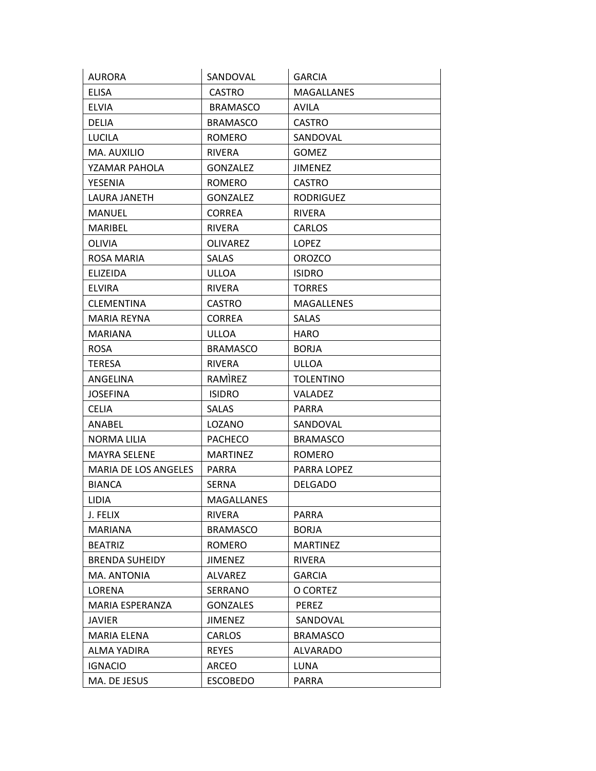| <b>AURORA</b>         | SANDOVAL          | <b>GARCIA</b>     |
|-----------------------|-------------------|-------------------|
| <b>ELISA</b>          | <b>CASTRO</b>     | <b>MAGALLANES</b> |
| <b>ELVIA</b>          | <b>BRAMASCO</b>   | <b>AVILA</b>      |
| <b>DELIA</b>          | <b>BRAMASCO</b>   | <b>CASTRO</b>     |
| <b>LUCILA</b>         | <b>ROMERO</b>     | SANDOVAL          |
| MA. AUXILIO           | <b>RIVERA</b>     | <b>GOMEZ</b>      |
| YZAMAR PAHOLA         | <b>GONZALEZ</b>   | JIMENEZ           |
| <b>YESENIA</b>        | ROMERO            | <b>CASTRO</b>     |
| LAURA JANETH          | <b>GONZALEZ</b>   | <b>RODRIGUEZ</b>  |
| <b>MANUEL</b>         | <b>CORREA</b>     | <b>RIVERA</b>     |
| <b>MARIBEL</b>        | <b>RIVERA</b>     | <b>CARLOS</b>     |
| OLIVIA                | <b>OLIVAREZ</b>   | <b>LOPEZ</b>      |
| ROSA MARIA            | <b>SALAS</b>      | <b>OROZCO</b>     |
| <b>ELIZEIDA</b>       | ULLOA             | <b>ISIDRO</b>     |
| <b>ELVIRA</b>         | <b>RIVERA</b>     | <b>TORRES</b>     |
| <b>CLEMENTINA</b>     | <b>CASTRO</b>     | <b>MAGALLENES</b> |
| MARIA REYNA           | <b>CORREA</b>     | <b>SALAS</b>      |
| MARIANA               | ULLOA             | <b>HARO</b>       |
| <b>ROSA</b>           | <b>BRAMASCO</b>   | <b>BORJA</b>      |
| <b>TERESA</b>         | <b>RIVERA</b>     | <b>ULLOA</b>      |
| ANGELINA              | RAMIREZ           | <b>TOLENTINO</b>  |
| <b>JOSEFINA</b>       | <b>ISIDRO</b>     | <b>VALADEZ</b>    |
| <b>CELIA</b>          | <b>SALAS</b>      | PARRA             |
| ANABEL                | LOZANO            | SANDOVAL          |
| NORMA LILIA           | <b>PACHECO</b>    | <b>BRAMASCO</b>   |
| <b>MAYRA SELENE</b>   | <b>MARTINEZ</b>   | <b>ROMERO</b>     |
| MARIA DE LOS ANGELES  | <b>PARRA</b>      | PARRA LOPEZ       |
| <b>BIANCA</b>         | <b>SERNA</b>      | <b>DELGADO</b>    |
| <b>LIDIA</b>          | <b>MAGALLANES</b> |                   |
| J. FELIX              | RIVERA            | PARRA             |
| MARIANA               | <b>BRAMASCO</b>   | <b>BORJA</b>      |
| <b>BEATRIZ</b>        | <b>ROMERO</b>     | <b>MARTINEZ</b>   |
| <b>BRENDA SUHEIDY</b> | <b>JIMENEZ</b>    | RIVERA            |
| MA. ANTONIA           | <b>ALVAREZ</b>    | <b>GARCIA</b>     |
| LORENA                | SERRANO           | O CORTEZ          |
| MARIA ESPERANZA       | <b>GONZALES</b>   | PEREZ             |
| JAVIER                | <b>JIMENEZ</b>    | SANDOVAL          |
| MARIA ELENA           | CARLOS            | <b>BRAMASCO</b>   |
| ALMA YADIRA           | <b>REYES</b>      | <b>ALVARADO</b>   |
| <b>IGNACIO</b>        | <b>ARCEO</b>      | LUNA              |
| MA. DE JESUS          | <b>ESCOBEDO</b>   | PARRA             |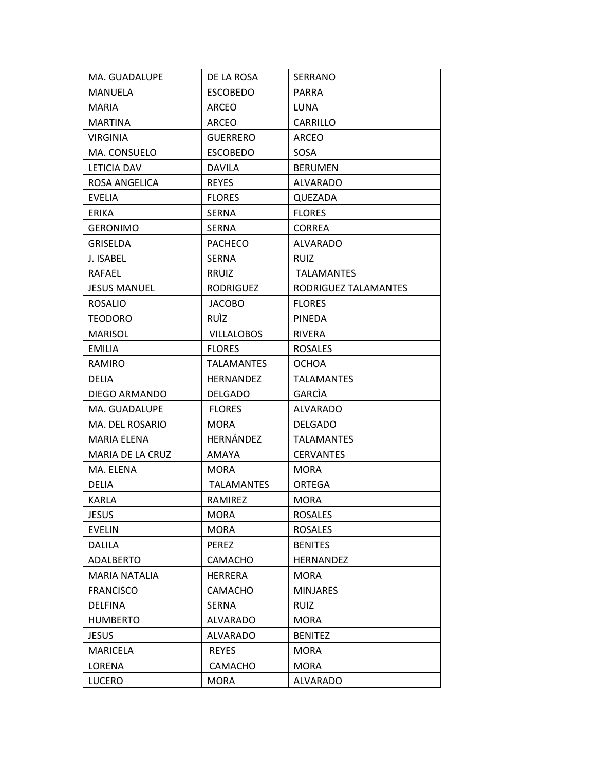| MA. GUADALUPE        | DE LA ROSA        | <b>SERRANO</b>       |
|----------------------|-------------------|----------------------|
| MANUELA              | <b>ESCOBEDO</b>   | <b>PARRA</b>         |
| MARIA                | ARCEO             | LUNA                 |
| <b>MARTINA</b>       | ARCEO             | CARRILLO             |
| <b>VIRGINIA</b>      | <b>GUERRERO</b>   | <b>ARCEO</b>         |
| MA. CONSUELO         | <b>ESCOBEDO</b>   | <b>SOSA</b>          |
| LETICIA DAV          | <b>DAVILA</b>     | <b>BERUMEN</b>       |
| ROSA ANGELICA        | <b>REYES</b>      | <b>ALVARADO</b>      |
| <b>EVELIA</b>        | <b>FLORES</b>     | QUEZADA              |
| <b>ERIKA</b>         | <b>SERNA</b>      | <b>FLORES</b>        |
| <b>GERONIMO</b>      | <b>SERNA</b>      | <b>CORREA</b>        |
| <b>GRISELDA</b>      | <b>PACHECO</b>    | <b>ALVARADO</b>      |
| J. ISABEL            | <b>SERNA</b>      | <b>RUIZ</b>          |
| <b>RAFAEL</b>        | RRUIZ             | <b>TALAMANTES</b>    |
| <b>JESUS MANUEL</b>  | <b>RODRIGUEZ</b>  | RODRIGUEZ TALAMANTES |
| <b>ROSALIO</b>       | <b>JACOBO</b>     | <b>FLORES</b>        |
| <b>TEODORO</b>       | <b>RUIZ</b>       | <b>PINEDA</b>        |
| <b>MARISOL</b>       | <b>VILLALOBOS</b> | <b>RIVERA</b>        |
| <b>EMILIA</b>        | <b>FLORES</b>     | <b>ROSALES</b>       |
| RAMIRO               | <b>TALAMANTES</b> | <b>OCHOA</b>         |
| <b>DELIA</b>         | <b>HERNANDEZ</b>  | <b>TALAMANTES</b>    |
| DIEGO ARMANDO        | <b>DELGADO</b>    | <b>GARCIA</b>        |
| MA. GUADALUPE        | <b>FLORES</b>     | <b>ALVARADO</b>      |
| MA. DEL ROSARIO      | <b>MORA</b>       | <b>DELGADO</b>       |
| MARIA ELENA          | HERNÁNDEZ         | <b>TALAMANTES</b>    |
| MARIA DE LA CRUZ     | AMAYA             | <b>CERVANTES</b>     |
| MA. ELENA            | <b>MORA</b>       | <b>MORA</b>          |
| DELIA                | <b>TALAMANTES</b> | ORTEGA               |
| <b>KARLA</b>         | RAMIREZ           | <b>MORA</b>          |
| <b>JESUS</b>         | <b>MORA</b>       | <b>ROSALES</b>       |
| <b>EVELIN</b>        | MORA              | <b>ROSALES</b>       |
| <b>DALILA</b>        | <b>PEREZ</b>      | <b>BENITES</b>       |
| ADALBERTO            | CAMACHO           | HERNANDEZ            |
| <b>MARIA NATALIA</b> | HERRERA           | <b>MORA</b>          |
| <b>FRANCISCO</b>     | <b>CAMACHO</b>    | <b>MINJARES</b>      |
| <b>DELFINA</b>       | <b>SERNA</b>      | <b>RUIZ</b>          |
| <b>HUMBERTO</b>      | <b>ALVARADO</b>   | <b>MORA</b>          |
| JESUS                | <b>ALVARADO</b>   | <b>BENITEZ</b>       |
| <b>MARICELA</b>      | <b>REYES</b>      | <b>MORA</b>          |
| LORENA               | CAMACHO           | MORA                 |
| <b>LUCERO</b>        | <b>MORA</b>       | <b>ALVARADO</b>      |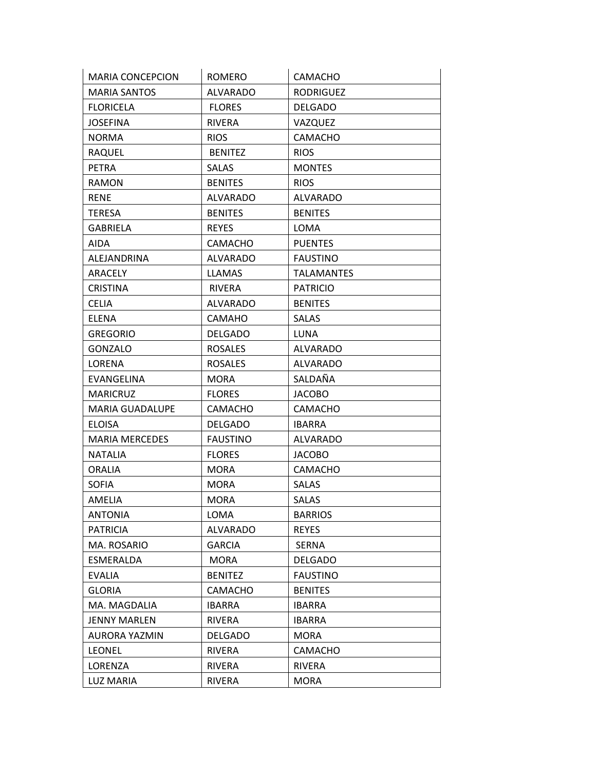| <b>MARIA CONCEPCION</b> | <b>ROMERO</b>   | <b>CAMACHO</b>    |
|-------------------------|-----------------|-------------------|
| <b>MARIA SANTOS</b>     | <b>ALVARADO</b> | <b>RODRIGUEZ</b>  |
| <b>FLORICELA</b>        | <b>FLORES</b>   | <b>DELGADO</b>    |
| <b>JOSEFINA</b>         | <b>RIVERA</b>   | VAZQUEZ           |
| <b>NORMA</b>            | <b>RIOS</b>     | <b>CAMACHO</b>    |
| <b>RAQUEL</b>           | <b>BENITEZ</b>  | <b>RIOS</b>       |
| <b>PETRA</b>            | <b>SALAS</b>    | <b>MONTES</b>     |
| <b>RAMON</b>            | <b>BENITES</b>  | <b>RIOS</b>       |
| <b>RENE</b>             | <b>ALVARADO</b> | <b>ALVARADO</b>   |
| <b>TERESA</b>           | <b>BENITES</b>  | <b>BENITES</b>    |
| <b>GABRIELA</b>         | <b>REYES</b>    | LOMA              |
| AIDA                    | <b>CAMACHO</b>  | <b>PUENTES</b>    |
| ALEJANDRINA             | <b>ALVARADO</b> | <b>FAUSTINO</b>   |
| ARACELY                 | <b>LLAMAS</b>   | <b>TALAMANTES</b> |
| <b>CRISTINA</b>         | <b>RIVERA</b>   | <b>PATRICIO</b>   |
| <b>CELIA</b>            | <b>ALVARADO</b> | <b>BENITES</b>    |
| <b>ELENA</b>            | <b>CAMAHO</b>   | <b>SALAS</b>      |
| <b>GREGORIO</b>         | <b>DELGADO</b>  | LUNA              |
| GONZALO                 | <b>ROSALES</b>  | <b>ALVARADO</b>   |
| LORENA                  | <b>ROSALES</b>  | <b>ALVARADO</b>   |
| EVANGELINA              | MORA            | SALDAÑA           |
| <b>MARICRUZ</b>         | <b>FLORES</b>   | <b>JACOBO</b>     |
| <b>MARIA GUADALUPE</b>  | <b>CAMACHO</b>  | <b>CAMACHO</b>    |
| <b>ELOISA</b>           | <b>DELGADO</b>  | <b>IBARRA</b>     |
| <b>MARIA MERCEDES</b>   | <b>FAUSTINO</b> | <b>ALVARADO</b>   |
| <b>NATALIA</b>          | <b>FLORES</b>   | <b>JACOBO</b>     |
| <b>ORALIA</b>           | <b>MORA</b>     | CAMACHO           |
| <b>SOFIA</b>            | <b>MORA</b>     | <b>SALAS</b>      |
| AMELIA                  | <b>MORA</b>     | <b>SALAS</b>      |
| <b>ANTONIA</b>          | LOMA            | <b>BARRIOS</b>    |
| <b>PATRICIA</b>         | ALVARADO        | <b>REYES</b>      |
| MA. ROSARIO             | <b>GARCIA</b>   | <b>SERNA</b>      |
| ESMERALDA               | <b>MORA</b>     | <b>DELGADO</b>    |
| <b>EVALIA</b>           | <b>BENITEZ</b>  | <b>FAUSTINO</b>   |
| <b>GLORIA</b>           | CAMACHO         | <b>BENITES</b>    |
| MA. MAGDALIA            | <b>IBARRA</b>   | <b>IBARRA</b>     |
| <b>JENNY MARLEN</b>     | RIVERA          | <b>IBARRA</b>     |
| AURORA YAZMIN           | <b>DELGADO</b>  | <b>MORA</b>       |
| <b>LEONEL</b>           | <b>RIVERA</b>   | <b>CAMACHO</b>    |
| LORENZA                 | RIVERA          | <b>RIVERA</b>     |
| <b>LUZ MARIA</b>        | <b>RIVERA</b>   | <b>MORA</b>       |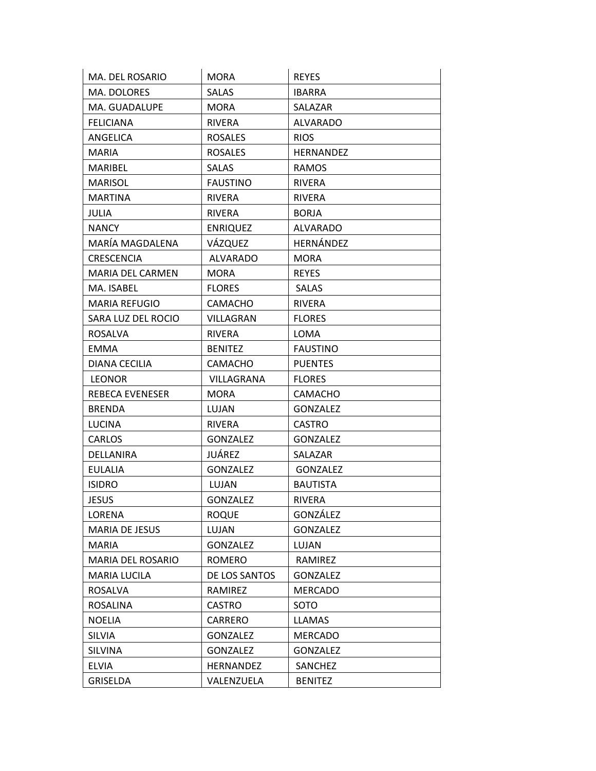| MA. DEL ROSARIO        | <b>MORA</b>     | <b>REYES</b>     |
|------------------------|-----------------|------------------|
| MA. DOLORES            | <b>SALAS</b>    | <b>IBARRA</b>    |
| MA. GUADALUPE          | <b>MORA</b>     | SALAZAR          |
| <b>FELICIANA</b>       | <b>RIVERA</b>   | <b>ALVARADO</b>  |
| ANGELICA               | <b>ROSALES</b>  | <b>RIOS</b>      |
| <b>MARIA</b>           | <b>ROSALES</b>  | <b>HERNANDEZ</b> |
| MARIBEL                | <b>SALAS</b>    | RAMOS            |
| <b>MARISOL</b>         | <b>FAUSTINO</b> | <b>RIVERA</b>    |
| <b>MARTINA</b>         | <b>RIVERA</b>   | <b>RIVERA</b>    |
| <b>JULIA</b>           | <b>RIVERA</b>   | <b>BORJA</b>     |
| <b>NANCY</b>           | <b>ENRIQUEZ</b> | <b>ALVARADO</b>  |
| MARÍA MAGDALENA        | VÁZQUEZ         | HERNÁNDEZ        |
| <b>CRESCENCIA</b>      | <b>ALVARADO</b> | <b>MORA</b>      |
| MARIA DEL CARMEN       | <b>MORA</b>     | <b>REYES</b>     |
| MA. ISABEL             | <b>FLORES</b>   | <b>SALAS</b>     |
| <b>MARIA REFUGIO</b>   | <b>CAMACHO</b>  | <b>RIVERA</b>    |
| SARA LUZ DEL ROCIO     | VILLAGRAN       | <b>FLORES</b>    |
| <b>ROSALVA</b>         | <b>RIVERA</b>   | <b>LOMA</b>      |
| <b>EMMA</b>            | <b>BENITEZ</b>  | <b>FAUSTINO</b>  |
| DIANA CECILIA          | <b>CAMACHO</b>  | <b>PUENTES</b>   |
| <b>LEONOR</b>          | VILLAGRANA      | <b>FLORES</b>    |
| <b>REBECA EVENESER</b> | <b>MORA</b>     | <b>CAMACHO</b>   |
| <b>BRENDA</b>          | LUJAN           | <b>GONZALEZ</b>  |
| <b>LUCINA</b>          | RIVERA          | <b>CASTRO</b>    |
| <b>CARLOS</b>          | <b>GONZALEZ</b> | <b>GONZALEZ</b>  |
| DELLANIRA              | JUÁREZ          | SALAZAR          |
| <b>EULALIA</b>         | <b>GONZALEZ</b> | <b>GONZALEZ</b>  |
| <b>ISIDRO</b>          | LUJAN           | <b>BAUTISTA</b>  |
| <b>JESUS</b>           | <b>GONZALEZ</b> | <b>RIVERA</b>    |
| LORENA                 | <b>ROQUE</b>    | GONZÁLEZ         |
| <b>MARIA DE JESUS</b>  | LUJAN           | <b>GONZALEZ</b>  |
| <b>MARIA</b>           | <b>GONZALEZ</b> | LUJAN            |
| MARIA DEL ROSARIO      | ROMERO          | RAMIREZ          |
| <b>MARIA LUCILA</b>    | DE LOS SANTOS   | <b>GONZALEZ</b>  |
| <b>ROSALVA</b>         | RAMIREZ         | <b>MERCADO</b>   |
| <b>ROSALINA</b>        | CASTRO          | SOTO             |
| <b>NOELIA</b>          | CARRERO         | <b>LLAMAS</b>    |
| <b>SILVIA</b>          | <b>GONZALEZ</b> | <b>MERCADO</b>   |
| <b>SILVINA</b>         | <b>GONZALEZ</b> | <b>GONZALEZ</b>  |
| ELVIA                  | HERNANDEZ       | SANCHEZ          |
| <b>GRISELDA</b>        | VALENZUELA      | <b>BENITEZ</b>   |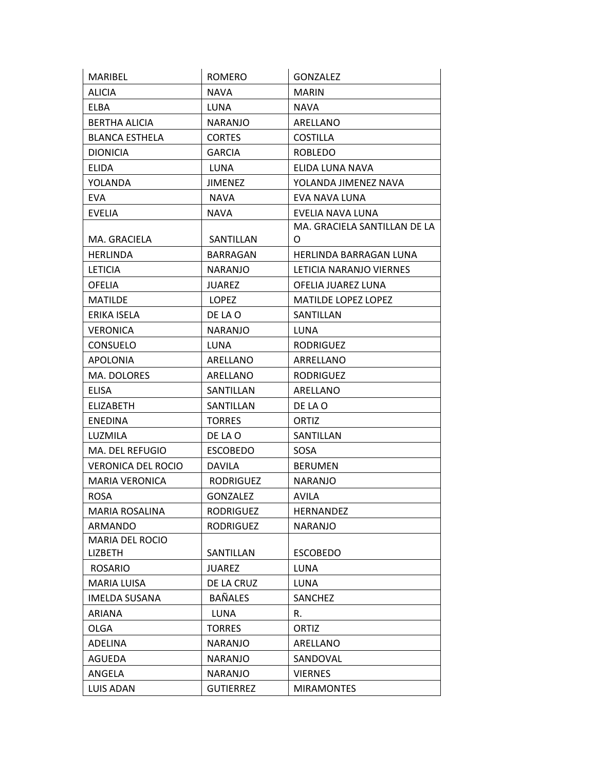| MARIBEL                   | <b>ROMERO</b>    | <b>GONZALEZ</b>              |
|---------------------------|------------------|------------------------------|
| <b>ALICIA</b>             | <b>NAVA</b>      | <b>MARIN</b>                 |
| <b>ELBA</b>               | LUNA             | <b>NAVA</b>                  |
| <b>BERTHA ALICIA</b>      | <b>NARANJO</b>   | ARELLANO                     |
| <b>BLANCA ESTHELA</b>     | <b>CORTES</b>    | <b>COSTILLA</b>              |
| <b>DIONICIA</b>           | <b>GARCIA</b>    | <b>ROBLEDO</b>               |
| <b>ELIDA</b>              | LUNA             | ELIDA LUNA NAVA              |
| YOLANDA                   | <b>JIMENEZ</b>   | YOLANDA JIMENEZ NAVA         |
| <b>EVA</b>                | <b>NAVA</b>      | EVA NAVA LUNA                |
| <b>EVELIA</b>             | <b>NAVA</b>      | EVELIA NAVA LUNA             |
|                           |                  | MA. GRACIELA SANTILLAN DE LA |
| MA. GRACIELA              | SANTILLAN        | O                            |
| <b>HERLINDA</b>           | <b>BARRAGAN</b>  | HERLINDA BARRAGAN LUNA       |
| <b>LETICIA</b>            | <b>NARANJO</b>   | LETICIA NARANJO VIERNES      |
| <b>OFELIA</b>             | <b>JUAREZ</b>    | OFELIA JUAREZ LUNA           |
| MATILDE                   | LOPEZ            | <b>MATILDE LOPEZ LOPEZ</b>   |
| ERIKA ISELA               | DE LA O          | SANTILLAN                    |
| <b>VERONICA</b>           | <b>NARANJO</b>   | LUNA                         |
| <b>CONSUELO</b>           | <b>LUNA</b>      | <b>RODRIGUEZ</b>             |
| <b>APOLONIA</b>           | ARELLANO         | ARRELLANO                    |
| MA. DOLORES               | ARELLANO         | <b>RODRIGUEZ</b>             |
| <b>ELISA</b>              | SANTILLAN        | ARELLANO                     |
| <b>ELIZABETH</b>          | SANTILLAN        | DE LA O                      |
| <b>ENEDINA</b>            | <b>TORRES</b>    | ORTIZ                        |
| LUZMILA                   | DE LA O          | SANTILLAN                    |
| MA. DEL REFUGIO           | <b>ESCOBEDO</b>  | SOSA                         |
| <b>VERONICA DEL ROCIO</b> | <b>DAVILA</b>    | <b>BERUMEN</b>               |
| <b>MARIA VERONICA</b>     | <b>RODRIGUEZ</b> | <b>NARANJO</b>               |
| <b>ROSA</b>               | <b>GONZALEZ</b>  | AVILA                        |
| <b>MARIA ROSALINA</b>     | <b>RODRIGUEZ</b> | HERNANDEZ                    |
| ARMANDO                   | <b>RODRIGUEZ</b> | <b>NARANJO</b>               |
| <b>MARIA DEL ROCIO</b>    |                  |                              |
| <b>LIZBETH</b>            | SANTILLAN        | <b>ESCOBEDO</b>              |
| <b>ROSARIO</b>            | <b>JUAREZ</b>    | <b>LUNA</b>                  |
| <b>MARIA LUISA</b>        | DE LA CRUZ       | LUNA                         |
| <b>IMELDA SUSANA</b>      | <b>BAÑALES</b>   | SANCHEZ                      |
| <b>ARIANA</b>             | <b>LUNA</b>      | R.                           |
| <b>OLGA</b>               | <b>TORRES</b>    | <b>ORTIZ</b>                 |
| <b>ADELINA</b>            | <b>NARANJO</b>   | ARELLANO                     |
| AGUEDA                    | <b>NARANJO</b>   | SANDOVAL                     |
| ANGELA                    | <b>NARANJO</b>   | <b>VIERNES</b>               |
| <b>LUIS ADAN</b>          | <b>GUTIERREZ</b> | <b>MIRAMONTES</b>            |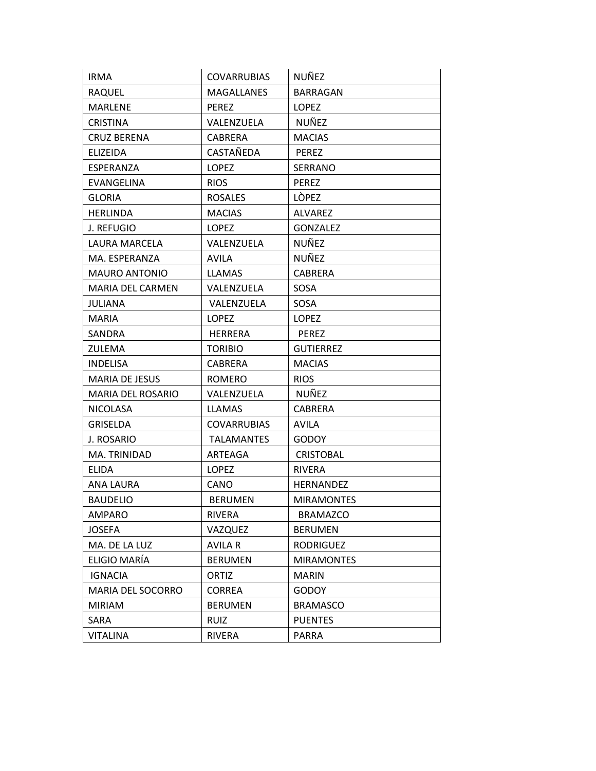| <b>IRMA</b>              | <b>COVARRUBIAS</b> | NUÑEZ             |
|--------------------------|--------------------|-------------------|
| RAQUEL                   | <b>MAGALLANES</b>  | BARRAGAN          |
| <b>MARLENE</b>           | <b>PEREZ</b>       | <b>LOPEZ</b>      |
| <b>CRISTINA</b>          | VALENZUELA         | NUÑEZ             |
| <b>CRUZ BERENA</b>       | <b>CABRERA</b>     | <b>MACIAS</b>     |
| <b>ELIZEIDA</b>          | CASTAÑEDA          | <b>PEREZ</b>      |
| ESPERANZA                | <b>LOPEZ</b>       | SERRANO           |
| EVANGELINA               | <b>RIOS</b>        | <b>PEREZ</b>      |
| <b>GLORIA</b>            | <b>ROSALES</b>     | <b>LÒPEZ</b>      |
| <b>HERLINDA</b>          | <b>MACIAS</b>      | <b>ALVAREZ</b>    |
| J. REFUGIO               | <b>LOPEZ</b>       | <b>GONZALEZ</b>   |
| LAURA MARCELA            | VALENZUELA         | <b>NUÑEZ</b>      |
| MA. ESPERANZA            | <b>AVILA</b>       | NUÑEZ             |
| <b>MAURO ANTONIO</b>     | <b>LLAMAS</b>      | CABRERA           |
| <b>MARIA DEL CARMEN</b>  | VALENZUELA         | SOSA              |
| JULIANA                  | VALENZUELA         | <b>SOSA</b>       |
| <b>MARIA</b>             | <b>LOPEZ</b>       | LOPEZ             |
| <b>SANDRA</b>            | <b>HERRERA</b>     | <b>PEREZ</b>      |
| ZULEMA                   | <b>TORIBIO</b>     | <b>GUTIERREZ</b>  |
| <b>INDELISA</b>          | <b>CABRERA</b>     | <b>MACIAS</b>     |
| <b>MARIA DE JESUS</b>    | <b>ROMERO</b>      | <b>RIOS</b>       |
| <b>MARIA DEL ROSARIO</b> | VALENZUELA         | NUÑEZ             |
| <b>NICOLASA</b>          | <b>LLAMAS</b>      | CABRERA           |
| <b>GRISELDA</b>          | <b>COVARRUBIAS</b> | AVILA             |
| J. ROSARIO               | <b>TALAMANTES</b>  | <b>GODOY</b>      |
| MA. TRINIDAD             | ARTEAGA            | <b>CRISTOBAL</b>  |
| <b>ELIDA</b>             | <b>LOPEZ</b>       | <b>RIVERA</b>     |
| ANA LAURA                | CANO               | HERNANDEZ         |
| <b>BAUDELIO</b>          | <b>BERUMEN</b>     | <b>MIRAMONTES</b> |
| AMPARO                   | RIVERA             | <b>BRAMAZCO</b>   |
| <b>JOSEFA</b>            | VAZQUEZ            | <b>BERUMEN</b>    |
| MA. DE LA LUZ            | <b>AVILA R</b>     | <b>RODRIGUEZ</b>  |
| ELIGIO MARÍA             | <b>BERUMEN</b>     | <b>MIRAMONTES</b> |
| <b>IGNACIA</b>           | ORTIZ              | <b>MARIN</b>      |
| MARIA DEL SOCORRO        | CORREA             | <b>GODOY</b>      |
| <b>MIRIAM</b>            | <b>BERUMEN</b>     | <b>BRAMASCO</b>   |
| SARA                     | <b>RUIZ</b>        | <b>PUENTES</b>    |
| <b>VITALINA</b>          | <b>RIVERA</b>      | <b>PARRA</b>      |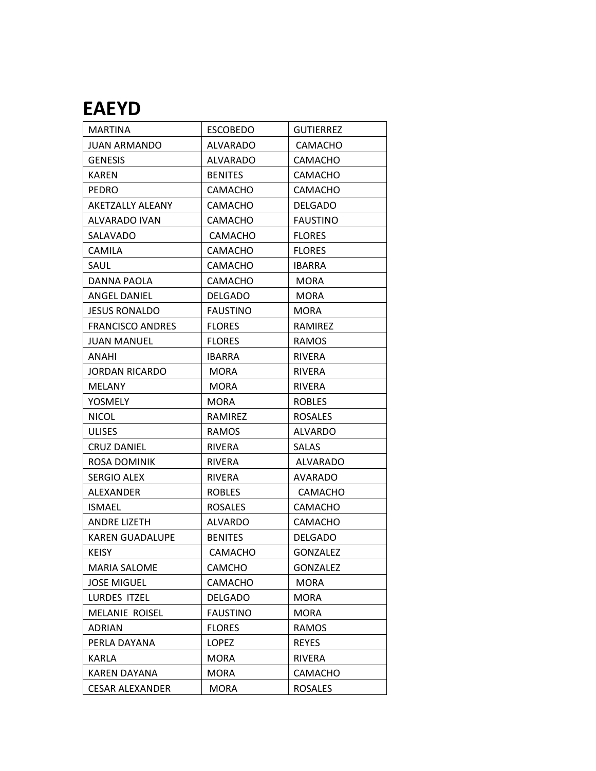## **EAEYD**

| <b>MARTINA</b>          | <b>ESCOBEDO</b> | <b>GUTIERREZ</b> |
|-------------------------|-----------------|------------------|
| <b>JUAN ARMANDO</b>     | <b>ALVARADO</b> | <b>CAMACHO</b>   |
| <b>GENESIS</b>          | <b>ALVARADO</b> | <b>CAMACHO</b>   |
| <b>KAREN</b>            | <b>BENITES</b>  | <b>CAMACHO</b>   |
| <b>PEDRO</b>            | <b>CAMACHO</b>  | CAMACHO          |
| AKETZALLY ALEANY        | <b>CAMACHO</b>  | <b>DELGADO</b>   |
| ALVARADO IVAN           | <b>CAMACHO</b>  | <b>FAUSTINO</b>  |
| SALAVADO                | CAMACHO         | <b>FLORES</b>    |
| CAMILA                  | CAMACHO         | <b>FLORES</b>    |
| SAUL                    | CAMACHO         | <b>IBARRA</b>    |
| DANNA PAOLA             | CAMACHO         | <b>MORA</b>      |
| ANGEL DANIEL            | <b>DELGADO</b>  | <b>MORA</b>      |
| <b>JESUS RONALDO</b>    | <b>FAUSTINO</b> | <b>MORA</b>      |
| <b>FRANCISCO ANDRES</b> | <b>FLORES</b>   | RAMIREZ          |
| <b>JUAN MANUEL</b>      | <b>FLORES</b>   | <b>RAMOS</b>     |
| ANAHI                   | <b>IBARRA</b>   | <b>RIVERA</b>    |
| JORDAN RICARDO          | <b>MORA</b>     | RIVERA           |
| <b>MELANY</b>           | <b>MORA</b>     | RIVERA           |
| YOSMELY                 | MORA            | <b>ROBLES</b>    |
| <b>NICOL</b>            | RAMIREZ         | <b>ROSALES</b>   |
| <b>ULISES</b>           | <b>RAMOS</b>    | ALVARDO          |
| <b>CRUZ DANIEL</b>      | <b>RIVERA</b>   | <b>SALAS</b>     |
| ROSA DOMINIK            | <b>RIVERA</b>   | ALVARADO         |
| <b>SERGIO ALEX</b>      | <b>RIVERA</b>   | AVARADO          |
| ALEXANDER               | <b>ROBLES</b>   | CAMACHO          |
| ISMAEL                  | <b>ROSALES</b>  | CAMACHO          |
| <b>ANDRE LIZETH</b>     | <b>ALVARDO</b>  | <b>CAMACHO</b>   |
| <b>KAREN GUADALUPE</b>  | <b>BENITES</b>  | <b>DELGADO</b>   |
| <b>KEISY</b>            | CAMACHO         | <b>GONZALEZ</b>  |
| MARIA SALOME            | CAMCHO          | <b>GONZALEZ</b>  |
| <b>JOSE MIGUEL</b>      | CAMACHO         | <b>MORA</b>      |
| LURDES ITZEL            | <b>DELGADO</b>  | MORA             |
| <b>MELANIE ROISEL</b>   | <b>FAUSTINO</b> | MORA             |
| <b>ADRIAN</b>           | <b>FLORES</b>   | <b>RAMOS</b>     |
| PERLA DAYANA            | LOPEZ           | <b>REYES</b>     |
| KARLA                   | <b>MORA</b>     | <b>RIVERA</b>    |
| KAREN DAYANA            | MORA            | CAMACHO          |
| CESAR ALEXANDER         | <b>MORA</b>     | <b>ROSALES</b>   |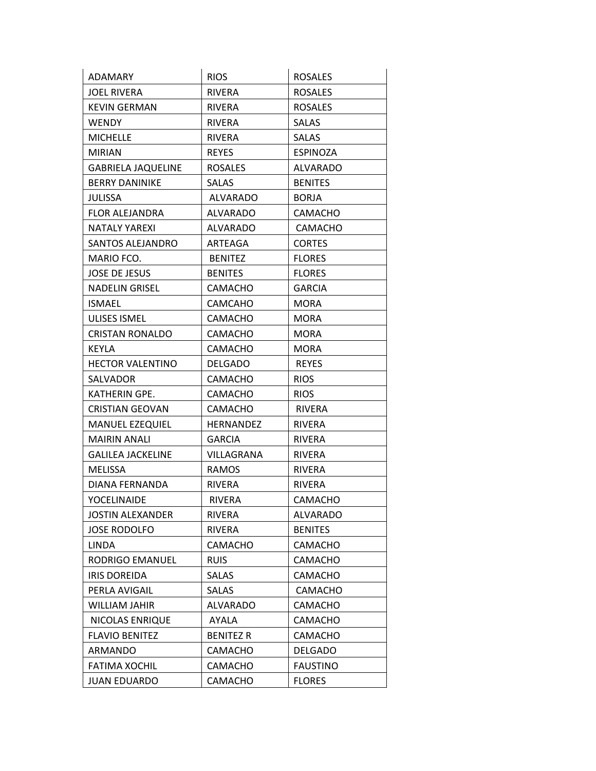| ADAMARY                   | <b>RIOS</b>      | <b>ROSALES</b>  |
|---------------------------|------------------|-----------------|
| <b>JOEL RIVERA</b>        | <b>RIVERA</b>    | <b>ROSALES</b>  |
| <b>KEVIN GERMAN</b>       | <b>RIVERA</b>    | <b>ROSALES</b>  |
| WENDY.                    | RIVERA           | <b>SALAS</b>    |
| <b>MICHELLE</b>           | <b>RIVERA</b>    | <b>SALAS</b>    |
| <b>MIRIAN</b>             | <b>REYES</b>     | <b>ESPINOZA</b> |
| <b>GABRIELA JAQUELINE</b> | <b>ROSALES</b>   | ALVARADO        |
| <b>BERRY DANINIKE</b>     | SALAS            | <b>BENITES</b>  |
| JULISSA                   | <b>ALVARADO</b>  | <b>BORJA</b>    |
| <b>FLOR ALEJANDRA</b>     | <b>ALVARADO</b>  | <b>CAMACHO</b>  |
| NATALY YAREXI             | ALVARADO         | <b>CAMACHO</b>  |
| SANTOS ALEJANDRO          | ARTEAGA          | <b>CORTES</b>   |
| MARIO FCO.                | <b>BENITEZ</b>   | <b>FLORES</b>   |
| JOSE DE JESUS             | <b>BENITES</b>   | <b>FLORES</b>   |
| <b>NADELIN GRISEL</b>     | CAMACHO          | <b>GARCIA</b>   |
| ISMAEL                    | <b>CAMCAHO</b>   | <b>MORA</b>     |
| <b>ULISES ISMEL</b>       | CAMACHO          | <b>MORA</b>     |
| <b>CRISTAN RONALDO</b>    | CAMACHO          | <b>MORA</b>     |
| <b>KEYLA</b>              | <b>CAMACHO</b>   | <b>MORA</b>     |
| <b>HECTOR VALENTINO</b>   | <b>DELGADO</b>   | <b>REYES</b>    |
| SALVADOR                  | CAMACHO          | <b>RIOS</b>     |
| KATHERIN GPE.             | <b>CAMACHO</b>   | <b>RIOS</b>     |
| <b>CRISTIAN GEOVAN</b>    | CAMACHO          | <b>RIVERA</b>   |
| <b>MANUEL EZEQUIEL</b>    | HERNANDEZ        | RIVERA          |
| MAIRIN ANALI              | <b>GARCIA</b>    | RIVERA          |
| <b>GALILEA JACKELINE</b>  | VILLAGRANA       | <b>RIVERA</b>   |
| MELISSA                   | RAMOS            | RIVERA          |
| DIANA FERNANDA            | RIVERA           | RIVERA          |
| YOCELINAIDE               | <b>RIVERA</b>    | <b>CAMACHO</b>  |
| <b>JOSTIN ALEXANDER</b>   | RIVERA           | <b>ALVARADO</b> |
| <b>JOSE RODOLFO</b>       | <b>RIVERA</b>    | <b>BENITES</b>  |
| <b>LINDA</b>              | CAMACHO          | <b>CAMACHO</b>  |
| RODRIGO EMANUEL           | <b>RUIS</b>      | <b>CAMACHO</b>  |
| <b>IRIS DOREIDA</b>       | SALAS            | <b>CAMACHO</b>  |
| PERLA AVIGAIL             | SALAS            | CAMACHO         |
| WILLIAM JAHIR             | ALVARADO         | CAMACHO         |
| NICOLAS ENRIQUE           | AYALA            | CAMACHO         |
| <b>FLAVIO BENITEZ</b>     | <b>BENITEZ R</b> | <b>CAMACHO</b>  |
| ARMANDO                   | CAMACHO          | <b>DELGADO</b>  |
| <b>FATIMA XOCHIL</b>      | CAMACHO          | <b>FAUSTINO</b> |
| JUAN EDUARDO              | CAMACHO          | <b>FLORES</b>   |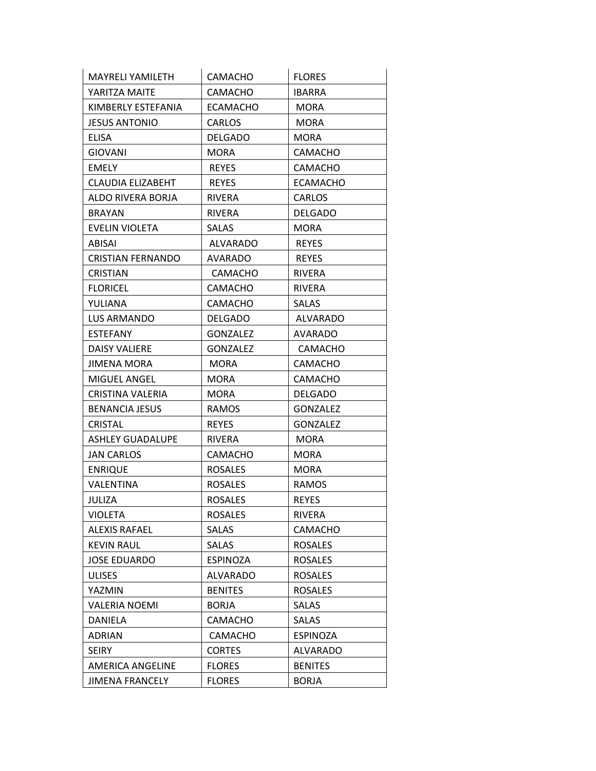| <b>MAYRELI YAMILETH</b>  | CAMACHO         | <b>FLORES</b>   |
|--------------------------|-----------------|-----------------|
| YARITZA MAITE            | CAMACHO         | <b>IBARRA</b>   |
| KIMBERLY ESTEFANIA       | <b>ECAMACHO</b> | <b>MORA</b>     |
| <b>JESUS ANTONIO</b>     | <b>CARLOS</b>   | <b>MORA</b>     |
| ELISA                    | <b>DELGADO</b>  | <b>MORA</b>     |
| <b>GIOVANI</b>           | <b>MORA</b>     | <b>CAMACHO</b>  |
| <b>EMELY</b>             | <b>REYES</b>    | <b>CAMACHO</b>  |
| CLAUDIA ELIZABEHT        | <b>REYES</b>    | <b>ECAMACHO</b> |
| ALDO RIVERA BORJA        | <b>RIVERA</b>   | CARLOS          |
| <b>BRAYAN</b>            | RIVERA          | <b>DELGADO</b>  |
| EVELIN VIOLETA           | SALAS           | MORA            |
| ABISAI                   | <b>ALVARADO</b> | <b>REYES</b>    |
| <b>CRISTIAN FERNANDO</b> | AVARADO         | <b>REYES</b>    |
| <b>CRISTIAN</b>          | CAMACHO         | <b>RIVERA</b>   |
| <b>FLORICEL</b>          | CAMACHO         | RIVERA          |
| YULIANA                  | CAMACHO         | SALAS           |
| LUS ARMANDO              | <b>DELGADO</b>  | ALVARADO        |
| <b>ESTEFANY</b>          | GONZALEZ        | AVARADO         |
| DAISY VALIERE            | <b>GONZALEZ</b> | <b>CAMACHO</b>  |
| JIMENA MORA              | <b>MORA</b>     | <b>CAMACHO</b>  |
| <b>MIGUEL ANGEL</b>      | <b>MORA</b>     | <b>CAMACHO</b>  |
| CRISTINA VALERIA         | MORA            | <b>DELGADO</b>  |
| <b>BENANCIA JESUS</b>    | <b>RAMOS</b>    | <b>GONZALEZ</b> |
| CRISTAL                  | <b>REYES</b>    | <b>GONZALEZ</b> |
| <b>ASHLEY GUADALUPE</b>  | RIVERA          | <b>MORA</b>     |
| <b>JAN CARLOS</b>        | CAMACHO         | <b>MORA</b>     |
| <b>ENRIQUE</b>           | <b>ROSALES</b>  | <b>MORA</b>     |
| VALENTINA                | <b>ROSALES</b>  | <b>RAMOS</b>    |
| JULIZA                   | <b>ROSALES</b>  | <b>REYES</b>    |
| VIOLETA                  | <b>ROSALES</b>  | RIVERA          |
| <b>ALEXIS RAFAEL</b>     | SALAS           | CAMACHO         |
| <b>KEVIN RAUL</b>        | <b>SALAS</b>    | <b>ROSALES</b>  |
| JOSE EDUARDO             | <b>ESPINOZA</b> | <b>ROSALES</b>  |
| <b>ULISES</b>            | <b>ALVARADO</b> | <b>ROSALES</b>  |
| YAZMIN                   | <b>BENITES</b>  | <b>ROSALES</b>  |
| <b>VALERIA NOEMI</b>     | <b>BORJA</b>    | <b>SALAS</b>    |
| DANIELA                  | CAMACHO         | <b>SALAS</b>    |
| ADRIAN                   | CAMACHO         | <b>ESPINOZA</b> |
| <b>SEIRY</b>             | <b>CORTES</b>   | <b>ALVARADO</b> |
| <b>AMERICA ANGELINE</b>  | <b>FLORES</b>   | <b>BENITES</b>  |
| <b>JIMENA FRANCELY</b>   | <b>FLORES</b>   | <b>BORJA</b>    |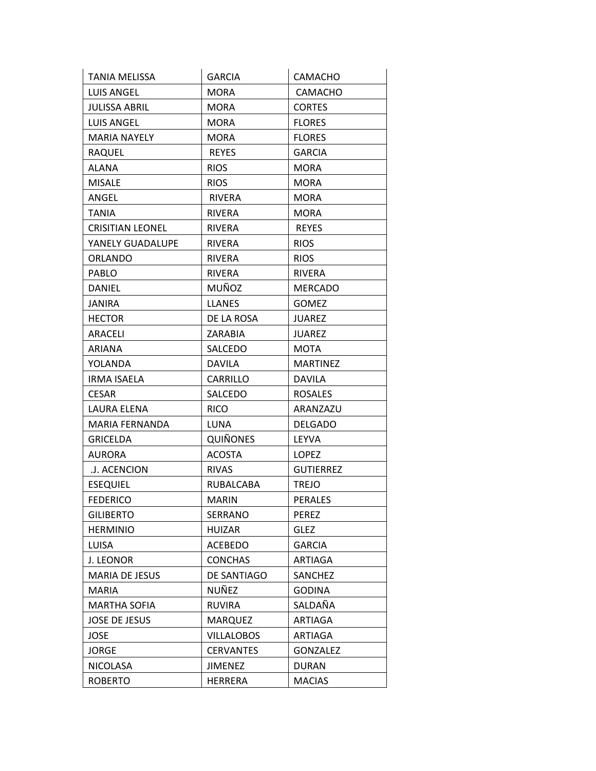| TANIA MELISSA           | <b>GARCIA</b>     | CAMACHO          |
|-------------------------|-------------------|------------------|
| <b>LUIS ANGEL</b>       | <b>MORA</b>       | CAMACHO          |
| <b>JULISSA ABRIL</b>    | <b>MORA</b>       | <b>CORTES</b>    |
| <b>LUIS ANGEL</b>       | <b>MORA</b>       | <b>FLORES</b>    |
| <b>MARIA NAYELY</b>     | <b>MORA</b>       | <b>FLORES</b>    |
| RAQUEL                  | <b>REYES</b>      | <b>GARCIA</b>    |
| ALANA                   | <b>RIOS</b>       | <b>MORA</b>      |
| <b>MISALE</b>           | <b>RIOS</b>       | <b>MORA</b>      |
| ANGEL                   | <b>RIVERA</b>     | <b>MORA</b>      |
| <b>TANIA</b>            | <b>RIVERA</b>     | <b>MORA</b>      |
| <b>CRISITIAN LEONEL</b> | <b>RIVERA</b>     | <b>REYES</b>     |
| YANELY GUADALUPE        | <b>RIVERA</b>     | <b>RIOS</b>      |
| <b>ORLANDO</b>          | <b>RIVERA</b>     | <b>RIOS</b>      |
| <b>PABLO</b>            | <b>RIVERA</b>     | RIVERA           |
| <b>DANIEL</b>           | MUÑOZ             | <b>MERCADO</b>   |
| <b>JANIRA</b>           | <b>LLANES</b>     | <b>GOMEZ</b>     |
| <b>HECTOR</b>           | DE LA ROSA        | <b>JUAREZ</b>    |
| ARACELI                 | ZARABIA           | JUAREZ           |
| <b>ARIANA</b>           | SALCEDO           | <b>MOTA</b>      |
| YOLANDA                 | <b>DAVILA</b>     | <b>MARTINEZ</b>  |
| <b>IRMA ISAELA</b>      | CARRILLO          | <b>DAVILA</b>    |
| <b>CESAR</b>            | SALCEDO           | <b>ROSALES</b>   |
| LAURA ELENA             | <b>RICO</b>       | ARANZAZU         |
| MARIA FERNANDA          | LUNA              | <b>DELGADO</b>   |
| <b>GRICELDA</b>         | <b>QUIÑONES</b>   | LEYVA            |
| <b>AURORA</b>           | <b>ACOSTA</b>     | LOPEZ            |
| .J. ACENCION            | <b>RIVAS</b>      | <b>GUTIERREZ</b> |
| <b>ESEQUIEL</b>         | RUBALCABA         | <b>TREJO</b>     |
| <b>FEDERICO</b>         | <b>MARIN</b>      | <b>PERALES</b>   |
| <b>GILIBERTO</b>        | SERRANO           | PEREZ            |
| <b>HERMINIO</b>         | <b>HUIZAR</b>     | <b>GLEZ</b>      |
| LUISA                   | <b>ACEBEDO</b>    | <b>GARCIA</b>    |
| J. LEONOR               | <b>CONCHAS</b>    | <b>ARTIAGA</b>   |
| <b>MARIA DE JESUS</b>   | DE SANTIAGO       | SANCHEZ          |
| MARIA                   | NUÑEZ             | <b>GODINA</b>    |
| <b>MARTHA SOFIA</b>     | <b>RUVIRA</b>     | SALDAÑA          |
| <b>JOSE DE JESUS</b>    | <b>MARQUEZ</b>    | <b>ARTIAGA</b>   |
| <b>JOSE</b>             | <b>VILLALOBOS</b> | <b>ARTIAGA</b>   |
| <b>JORGE</b>            | <b>CERVANTES</b>  | <b>GONZALEZ</b>  |
| <b>NICOLASA</b>         | <b>JIMENEZ</b>    | <b>DURAN</b>     |
| <b>ROBERTO</b>          | <b>HERRERA</b>    | <b>MACIAS</b>    |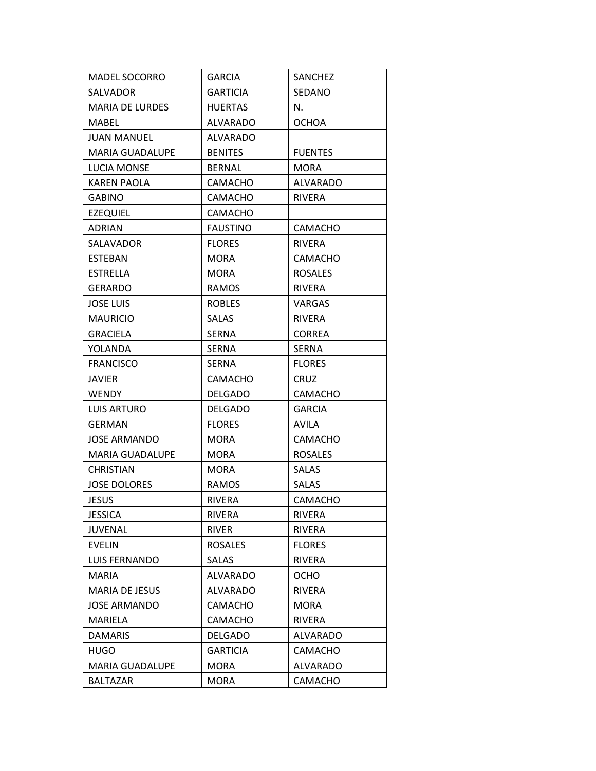| <b>MADEL SOCORRO</b>   | <b>GARCIA</b>   | SANCHEZ         |
|------------------------|-----------------|-----------------|
| SALVADOR               | <b>GARTICIA</b> | SEDANO          |
| <b>MARIA DE LURDES</b> | <b>HUERTAS</b>  | N.              |
| MABEL                  | ALVARADO        | <b>OCHOA</b>    |
| JUAN MANUEL            | <b>ALVARADO</b> |                 |
| <b>MARIA GUADALUPE</b> | <b>BENITES</b>  | <b>FUENTES</b>  |
| LUCIA MONSE            | <b>BERNAL</b>   | <b>MORA</b>     |
| <b>KAREN PAOLA</b>     | <b>CAMACHO</b>  | <b>ALVARADO</b> |
| <b>GABINO</b>          | CAMACHO         | <b>RIVERA</b>   |
| <b>EZEQUIEL</b>        | CAMACHO         |                 |
| <b>ADRIAN</b>          | <b>FAUSTINO</b> | <b>CAMACHO</b>  |
| SALAVADOR              | <b>FLORES</b>   | <b>RIVERA</b>   |
| <b>ESTEBAN</b>         | MORA            | CAMACHO         |
| ESTRELLA               | <b>MORA</b>     | <b>ROSALES</b>  |
| <b>GERARDO</b>         | RAMOS           | RIVERA          |
| <b>JOSE LUIS</b>       | <b>ROBLES</b>   | VARGAS          |
| <b>MAURICIO</b>        | SALAS           | RIVERA          |
| <b>GRACIELA</b>        | <b>SERNA</b>    | <b>CORREA</b>   |
| YOLANDA                | <b>SERNA</b>    | <b>SERNA</b>    |
| <b>FRANCISCO</b>       | <b>SERNA</b>    | <b>FLORES</b>   |
| <b>JAVIER</b>          | CAMACHO         | <b>CRUZ</b>     |
| <b>WENDY</b>           | <b>DELGADO</b>  | CAMACHO         |
| <b>LUIS ARTURO</b>     | <b>DELGADO</b>  | <b>GARCIA</b>   |
| <b>GERMAN</b>          | <b>FLORES</b>   | <b>AVILA</b>    |
| JOSE ARMANDO           | MORA            | <b>CAMACHO</b>  |
| <b>MARIA GUADALUPE</b> | <b>MORA</b>     | <b>ROSALES</b>  |
| <b>CHRISTIAN</b>       | <b>MORA</b>     | <b>SALAS</b>    |
| <b>JOSE DOLORES</b>    | <b>RAMOS</b>    | SALAS           |
| <b>JESUS</b>           | <b>RIVERA</b>   | CAMACHO         |
| <b>JESSICA</b>         | RIVERA          | <b>RIVERA</b>   |
| JUVENAL                | <b>RIVER</b>    | <b>RIVERA</b>   |
| <b>EVELIN</b>          | <b>ROSALES</b>  | <b>FLORES</b>   |
| LUIS FERNANDO          | <b>SALAS</b>    | <b>RIVERA</b>   |
| <b>MARIA</b>           | <b>ALVARADO</b> | OCHO            |
| <b>MARIA DE JESUS</b>  | <b>ALVARADO</b> | <b>RIVERA</b>   |
| <b>JOSE ARMANDO</b>    | CAMACHO         | <b>MORA</b>     |
| MARIELA                | <b>CAMACHO</b>  | RIVERA          |
| <b>DAMARIS</b>         | <b>DELGADO</b>  | ALVARADO        |
| HUGO                   | <b>GARTICIA</b> | <b>CAMACHO</b>  |
| <b>MARIA GUADALUPE</b> | MORA            | ALVARADO        |
| <b>BALTAZAR</b>        | <b>MORA</b>     | <b>CAMACHO</b>  |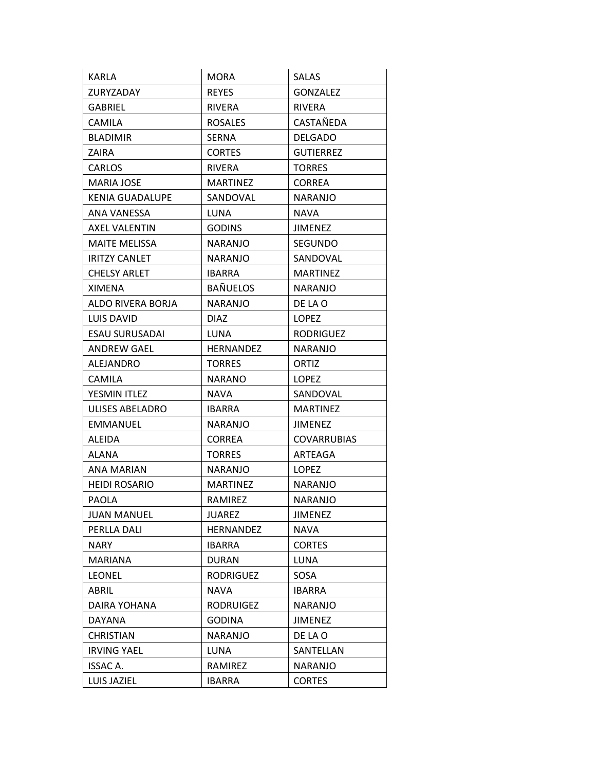| KARLA                | MORA             | <b>SALAS</b>       |
|----------------------|------------------|--------------------|
| ZURYZADAY            | <b>REYES</b>     | <b>GONZALEZ</b>    |
| <b>GABRIEL</b>       | <b>RIVERA</b>    | <b>RIVERA</b>      |
| <b>CAMILA</b>        | <b>ROSALES</b>   | CASTAÑEDA          |
| <b>BLADIMIR</b>      | <b>SERNA</b>     | <b>DELGADO</b>     |
| ZAIRA                | <b>CORTES</b>    | <b>GUTIERREZ</b>   |
| CARLOS               | <b>RIVERA</b>    | <b>TORRES</b>      |
| MARIA JOSE           | <b>MARTINEZ</b>  | <b>CORREA</b>      |
| KENIA GUADALUPE      | SANDOVAL         | NARANJO            |
| ANA VANESSA          | LUNA             | <b>NAVA</b>        |
| AXEL VALENTIN        | <b>GODINS</b>    | JIMENEZ            |
| <b>MAITE MELISSA</b> | NARANJO          | SEGUNDO            |
| <b>IRITZY CANLET</b> | <b>NARANJO</b>   | SANDOVAL           |
| CHELSY ARLET         | <b>IBARRA</b>    | <b>MARTINEZ</b>    |
| <b>XIMENA</b>        | <b>BAÑUELOS</b>  | NARANJO            |
| ALDO RIVERA BORJA    | <b>NARANJO</b>   | DE LA O            |
| LUIS DAVID           | <b>DIAZ</b>      | <b>LOPEZ</b>       |
| ESAU SURUSADAI       | LUNA             | <b>RODRIGUEZ</b>   |
| <b>ANDREW GAEL</b>   | HERNANDEZ        | NARANJO            |
| <b>ALEJANDRO</b>     | <b>TORRES</b>    | ORTIZ              |
| <b>CAMILA</b>        | NARANO           | <b>LOPEZ</b>       |
| YESMIN ITLEZ         | <b>NAVA</b>      | SANDOVAL           |
| ULISES ABELADRO      | <b>IBARRA</b>    | <b>MARTINEZ</b>    |
| EMMANUEL             | NARANJO          | JIMENEZ            |
| <b>ALEIDA</b>        | <b>CORREA</b>    | <b>COVARRUBIAS</b> |
| ALANA                | <b>TORRES</b>    | ARTEAGA            |
| ANA MARIAN           | <b>NARANJO</b>   | <b>LOPEZ</b>       |
| <b>HEIDI ROSARIO</b> | <b>MARTINEZ</b>  | <b>NARANJO</b>     |
| <b>PAOLA</b>         | RAMIREZ          | <b>NARANJO</b>     |
| <b>JUAN MANUEL</b>   | JUAREZ           | JIMENEZ            |
| PERLLA DALI          | HERNANDEZ        | <b>NAVA</b>        |
| NARY                 | <b>IBARRA</b>    | <b>CORTES</b>      |
| <b>MARIANA</b>       | <b>DURAN</b>     | LUNA               |
| <b>LEONEL</b>        | <b>RODRIGUEZ</b> | SOSA               |
| ABRIL                | <b>NAVA</b>      | IBARRA             |
| DAIRA YOHANA         | <b>RODRUIGEZ</b> | NARANJO            |
| DAYANA               | <b>GODINA</b>    | <b>JIMENEZ</b>     |
| <b>CHRISTIAN</b>     | <b>NARANJO</b>   | DE LA O            |
| <b>IRVING YAEL</b>   | LUNA             | SANTELLAN          |
| ISSAC A.             | RAMIREZ          | <b>NARANJO</b>     |
| LUIS JAZIEL          | <b>IBARRA</b>    | <b>CORTES</b>      |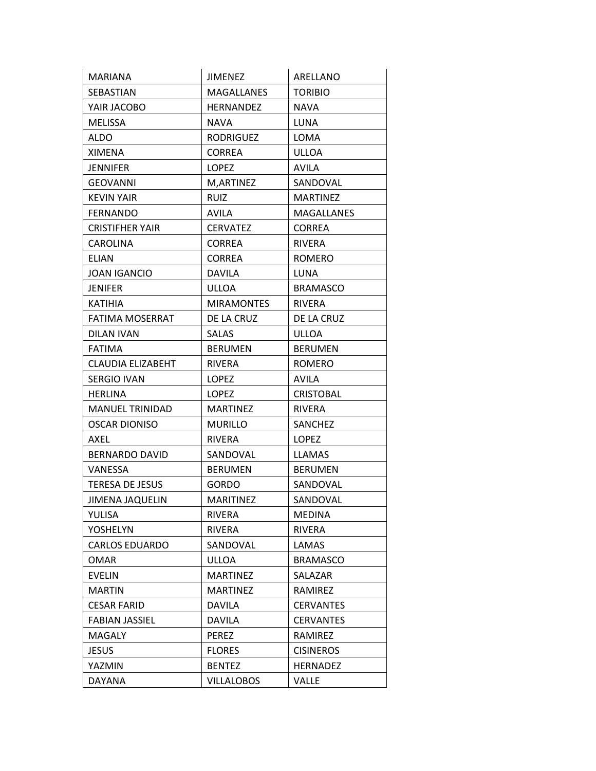| <b>MARIANA</b>           | JIMENEZ           | ARELLANO          |
|--------------------------|-------------------|-------------------|
| SEBASTIAN                | <b>MAGALLANES</b> | <b>TORIBIO</b>    |
| YAIR JACOBO              | <b>HERNANDEZ</b>  | <b>NAVA</b>       |
| MELISSA                  | NAVA              | LUNA              |
| <b>ALDO</b>              | <b>RODRIGUEZ</b>  | LOMA              |
| XIMENA                   | <b>CORREA</b>     | <b>ULLOA</b>      |
| <b>JENNIFER</b>          | <b>LOPEZ</b>      | <b>AVILA</b>      |
| <b>GEOVANNI</b>          | M, ARTINEZ        | SANDOVAL          |
| <b>KEVIN YAIR</b>        | <b>RUIZ</b>       | <b>MARTINEZ</b>   |
| <b>FERNANDO</b>          | <b>AVILA</b>      | <b>MAGALLANES</b> |
| CRISTIFHER YAIR          | <b>CERVATEZ</b>   | <b>CORREA</b>     |
| CAROLINA                 | <b>CORREA</b>     | <b>RIVERA</b>     |
| <b>ELIAN</b>             | <b>CORREA</b>     | <b>ROMERO</b>     |
| <b>JOAN IGANCIO</b>      | <b>DAVILA</b>     | <b>LUNA</b>       |
| <b>JENIFER</b>           | ULLOA             | <b>BRAMASCO</b>   |
| <b>KATIHIA</b>           | <b>MIRAMONTES</b> | RIVERA            |
| <b>FATIMA MOSERRAT</b>   | DE LA CRUZ        | DE LA CRUZ        |
| DILAN IVAN               | <b>SALAS</b>      | <b>ULLOA</b>      |
| <b>FATIMA</b>            | <b>BERUMEN</b>    | <b>BERUMEN</b>    |
| <b>CLAUDIA ELIZABEHT</b> | <b>RIVERA</b>     | <b>ROMERO</b>     |
| <b>SERGIO IVAN</b>       | <b>LOPEZ</b>      | <b>AVILA</b>      |
| <b>HERLINA</b>           | LOPEZ             | <b>CRISTOBAL</b>  |
| <b>MANUEL TRINIDAD</b>   | <b>MARTINEZ</b>   | <b>RIVERA</b>     |
| <b>OSCAR DIONISO</b>     | <b>MURILLO</b>    | SANCHEZ           |
| AXEL                     | RIVERA            | LOPEZ             |
| <b>BERNARDO DAVID</b>    | SANDOVAL          | <b>LLAMAS</b>     |
| VANESSA                  | <b>BERUMEN</b>    | <b>BERUMEN</b>    |
| <b>TERESA DE JESUS</b>   | <b>GORDO</b>      | SANDOVAL          |
| <b>JIMENA JAQUELIN</b>   | <b>MARITINEZ</b>  | SANDOVAL          |
| YULISA                   | RIVERA            | <b>MEDINA</b>     |
| YOSHELYN                 | RIVERA            | <b>RIVERA</b>     |
| <b>CARLOS EDUARDO</b>    | SANDOVAL          | LAMAS             |
| <b>OMAR</b>              | ULLOA             | <b>BRAMASCO</b>   |
| <b>EVELIN</b>            | <b>MARTINEZ</b>   | SALAZAR           |
| <b>MARTIN</b>            | <b>MARTINEZ</b>   | RAMIREZ           |
| <b>CESAR FARID</b>       | DAVILA            | <b>CERVANTES</b>  |
| <b>FABIAN JASSIEL</b>    | DAVILA            | <b>CERVANTES</b>  |
| <b>MAGALY</b>            | PEREZ             | RAMIREZ           |
| <b>JESUS</b>             | <b>FLORES</b>     | <b>CISINEROS</b>  |
| YAZMIN                   | <b>BENTEZ</b>     | <b>HERNADEZ</b>   |
| DAYANA                   | <b>VILLALOBOS</b> | VALLE             |